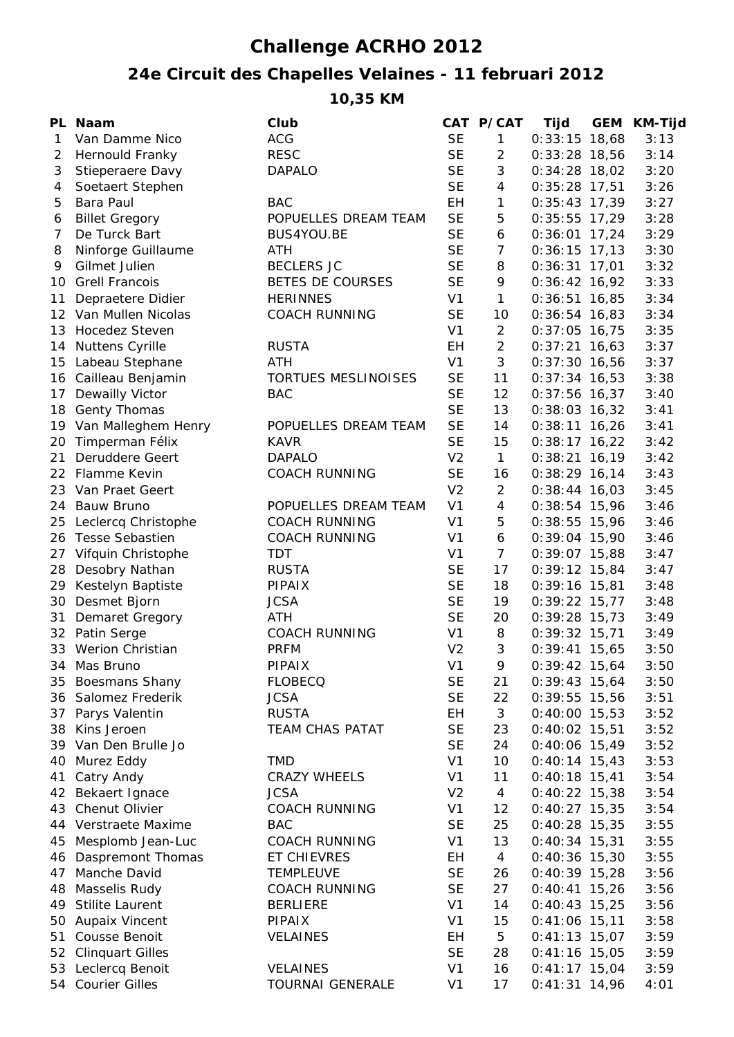## **Challenge ACRHO 2012**

## **24e Circuit des Chapelles Velaines - 11 februari 2012**

**10,35 KM**

| <b>ACG</b><br><b>SE</b><br>$0:33:15$ 18,68<br>Van Damme Nico<br>$\mathbf{1}$<br>3:13<br>1<br><b>RESC</b><br><b>SE</b><br>2<br>Hernould Franky<br>$\overline{2}$<br>$0:33:28$ 18,56<br>3:14<br><b>SE</b><br>3<br>3<br>Stieperaere Davy<br><b>DAPALO</b><br>$0:34:28$ 18,02<br>3:20<br><b>SE</b><br>4<br>4<br>Soetaert Stephen<br>$0:35:28$ 17,51<br>3:26<br>EH<br>5<br><b>Bara Paul</b><br><b>BAC</b><br>1<br>$0:35:43$ 17,39<br>3:27<br><b>SE</b><br>5<br><b>Billet Gregory</b><br>POPUELLES DREAM TEAM<br>$0:35:55$ 17,29<br>3:28<br>6<br>7<br>De Turck Bart<br><b>SE</b><br>3:29<br>BUS4YOU.BE<br>6<br>$0:36:01$ 17,24<br><b>SE</b><br>$\overline{7}$<br>3:30<br>Ninforge Guillaume<br><b>ATH</b><br>8<br>$0:36:15$ 17,13<br>Gilmet Julien<br><b>BECLERS JC</b><br><b>SE</b><br>3:32<br>9<br>8<br>$0:36:31$ 17,01<br><b>SE</b><br>3:33<br><b>Grell Francois</b><br>BETES DE COURSES<br>9<br>$0:36:42$ 16,92<br>10<br>V <sub>1</sub><br><b>HERINNES</b><br>$\mathbf{1}$<br>3:34<br>Depraetere Didier<br>$0:36:51$ 16,85<br>11<br><b>COACH RUNNING</b><br><b>SE</b><br>$12 \overline{ }$<br>Van Mullen Nicolas<br>10<br>3:34<br>$0:36:54$ 16,83<br>V <sub>1</sub><br><b>Hocedez Steven</b><br>$\overline{2}$<br>$0:37:05$ 16,75<br>3:35<br>13<br>$\overline{2}$<br>3:37<br><b>Nuttens Cyrille</b><br><b>RUSTA</b><br>EH<br>$0:37:21$ 16,63<br>14<br>3<br>V <sub>1</sub><br>3:37<br>Labeau Stephane<br>ATH<br>$0:37:30$ 16,56<br>15<br><b>SE</b><br>11<br>3:38<br>Cailleau Benjamin<br>TORTUES MESLINOISES<br>$0:37:34$ 16,53<br>16<br><b>SE</b><br>Dewailly Victor<br><b>BAC</b><br>12<br>$0:37:56$ 16,37<br>3:40<br>17<br><b>SE</b><br>13<br><b>Genty Thomas</b><br>$0:38:03$ 16,32<br>3:41<br>18<br><b>SE</b><br>Van Malleghem Henry<br>POPUELLES DREAM TEAM<br>14<br>3:41<br>19<br>$0:38:11$ 16,26<br><b>SE</b><br>Timperman Félix<br><b>KAVR</b><br>15<br>$0:38:17$ 16,22<br>3:42<br>20<br>Deruddere Geert<br>V <sub>2</sub><br>$\mathbf{1}$<br>21<br><b>DAPALO</b><br>$0:38:21$ 16,19<br>3:42<br><b>SE</b><br>22 Flamme Kevin<br><b>COACH RUNNING</b><br>16<br>$0:38:29$ 16,14<br>3:43<br>V <sub>2</sub><br>23 Van Praet Geert<br>2<br>$0:38:44$ 16,03<br>3:45<br>V <sub>1</sub><br>$\overline{4}$<br>Bauw Bruno<br>POPUELLES DREAM TEAM<br>$0:38:54$ 15,96<br>3:46<br>24<br>V <sub>1</sub><br>Leclercq Christophe<br><b>COACH RUNNING</b><br>5<br>$0:38:55$ 15,96<br>3:46<br>25<br>V <sub>1</sub><br><b>Tesse Sebastien</b><br><b>COACH RUNNING</b><br>6<br>$0:39:04$ 15,90<br>3:46<br>26<br>$\overline{7}$<br>27<br>Vifquin Christophe<br><b>TDT</b><br>V <sub>1</sub><br>$0:39:07$ 15,88<br>3:47<br><b>SE</b><br>Desobry Nathan<br><b>RUSTA</b><br>17<br>$0:39:12$ 15,84<br>3:47<br>28<br><b>SE</b><br>29<br>Kestelyn Baptiste<br><b>PIPAIX</b><br>18<br>3:48<br>$0:39:16$ 15,81<br><b>SE</b><br>Desmet Bjorn<br><b>JCSA</b><br>19<br>$0:39:22$ 15,77<br>3:48<br>30<br><b>SE</b><br>ATH<br>20<br>31<br>Demaret Gregory<br>$0:39:28$ 15,73<br>3:49<br>V <sub>1</sub><br>Patin Serge<br><b>COACH RUNNING</b><br>8<br>$0:39:32$ 15,71<br>32<br>3:49<br>V <sub>2</sub><br><b>Werion Christian</b><br>3<br>33<br><b>PRFM</b><br>$0:39:41$ 15,65<br>3:50<br>PIPAIX<br>V <sub>1</sub><br>3:50<br>34 Mas Bruno<br>9<br>$0:39:42$ 15,64<br><b>SE</b><br>$0:39:43$ 15,64<br>35 Boesmans Shany<br><b>FLOBECQ</b><br>21<br>3:50<br><b>SE</b><br>36 Salomez Frederik<br><b>JCSA</b><br>22<br>3:51<br>$0:39:55$ 15,56<br>Parys Valentin<br><b>RUSTA</b><br><b>EH</b><br>3<br>$0:40:00$ 15,53<br>37<br>3:52<br><b>SE</b><br>Kins Jeroen<br><b>TEAM CHAS PATAT</b><br>23<br>$0:40:02$ 15,51<br>3:52<br>38<br><b>SE</b><br>39 Van Den Brulle Jo<br>24<br>$0:40:06$ 15,49<br>3:52<br><b>TMD</b><br>Murez Eddy<br>V <sub>1</sub><br>10<br>3:53<br>40<br>$0:40:14$ 15,43<br>Catry Andy<br>V <sub>1</sub><br>11<br>$0:40:18$ 15,41<br>3:54<br>41<br><b>CRAZY WHEELS</b><br>42 Bekaert Ignace<br><b>JCSA</b><br>V <sub>2</sub><br>$0:40:22$ 15,38<br>3:54<br>4<br>Chenut Olivier<br>V <sub>1</sub><br><b>COACH RUNNING</b><br>12<br>$0:40:27$ 15,35<br>3:54<br>43<br>44 Verstraete Maxime<br><b>BAC</b><br><b>SE</b><br>25<br>$0:40:28$ 15,35<br>3:55<br>Mesplomb Jean-Luc<br><b>COACH RUNNING</b><br>V <sub>1</sub><br>13<br>$0:40:34$ 15,31<br>3:55<br>45<br>46 Daspremont Thomas<br>EH<br>$0:40:36$ 15,30<br>3:55<br>ET CHIEVRES<br>4<br>Manche David<br><b>SE</b><br>$0:40:39$ 15,28<br>3:56<br>47<br><b>TEMPLEUVE</b><br>26<br><b>SE</b><br>Masselis Rudy<br><b>COACH RUNNING</b><br>27<br>$0:40:41$ 15,26<br>3:56<br>48<br>V <sub>1</sub><br>Stilite Laurent<br><b>BERLIERE</b><br>14<br>$0:40:43$ 15,25<br>3:56<br>49<br><b>Aupaix Vincent</b><br>V <sub>1</sub><br>15<br>$0:41:06$ 15,11<br>3:58<br><b>PIPAIX</b><br>50<br>Cousse Benoit<br><b>VELAINES</b><br>EH<br>5<br>$0:41:13$ 15,07<br>3:59<br>51<br><b>SE</b><br><b>Clinquart Gilles</b><br>28<br>$0:41:16$ 15,05<br>3:59<br>52<br>53 Leclercq Benoit<br><b>VELAINES</b><br>V <sub>1</sub><br>$0:41:17$ 15,04<br>16<br>3:59<br>54 Courier Gilles<br><b>TOURNAI GENERALE</b><br>V <sub>1</sub><br>17<br>$0:41:31$ 14,96<br>4:01 | PL Naam | Club | CAT P/CAT | Tijd | <b>GEM KM-Tijd</b> |
|---------------------------------------------------------------------------------------------------------------------------------------------------------------------------------------------------------------------------------------------------------------------------------------------------------------------------------------------------------------------------------------------------------------------------------------------------------------------------------------------------------------------------------------------------------------------------------------------------------------------------------------------------------------------------------------------------------------------------------------------------------------------------------------------------------------------------------------------------------------------------------------------------------------------------------------------------------------------------------------------------------------------------------------------------------------------------------------------------------------------------------------------------------------------------------------------------------------------------------------------------------------------------------------------------------------------------------------------------------------------------------------------------------------------------------------------------------------------------------------------------------------------------------------------------------------------------------------------------------------------------------------------------------------------------------------------------------------------------------------------------------------------------------------------------------------------------------------------------------------------------------------------------------------------------------------------------------------------------------------------------------------------------------------------------------------------------------------------------------------------------------------------------------------------------------------------------------------------------------------------------------------------------------------------------------------------------------------------------------------------------------------------------------------------------------------------------------------------------------------------------------------------------------------------------------------------------------------------------------------------------------------------------------------------------------------------------------------------------------------------------------------------------------------------------------------------------------------------------------------------------------------------------------------------------------------------------------------------------------------------------------------------------------------------------------------------------------------------------------------------------------------------------------------------------------------------------------------------------------------------------------------------------------------------------------------------------------------------------------------------------------------------------------------------------------------------------------------------------------------------------------------------------------------------------------------------------------------------------------------------------------------------------------------------------------------------------------------------------------------------------------------------------------------------------------------------------------------------------------------------------------------------------------------------------------------------------------------------------------------------------------------------------------------------------------------------------------------------------------------------------------------------------------------------------------------------------------------------------------------------------------------------------------------------------------------------------------------------------------------------------------------------------------------------------------------------------------------------------------------------------------------------------------------------------------------------------------------------------------------------------------------------------------------------------------------------------------------------------------------------------------------------------------------------------------------------------------------------------------------------------------------------------------------------------------------------------------------------------------------------------------------------------------------------------------------------------------|---------|------|-----------|------|--------------------|
|                                                                                                                                                                                                                                                                                                                                                                                                                                                                                                                                                                                                                                                                                                                                                                                                                                                                                                                                                                                                                                                                                                                                                                                                                                                                                                                                                                                                                                                                                                                                                                                                                                                                                                                                                                                                                                                                                                                                                                                                                                                                                                                                                                                                                                                                                                                                                                                                                                                                                                                                                                                                                                                                                                                                                                                                                                                                                                                                                                                                                                                                                                                                                                                                                                                                                                                                                                                                                                                                                                                                                                                                                                                                                                                                                                                                                                                                                                                                                                                                                                                                                                                                                                                                                                                                                                                                                                                                                                                                                                                                                                                                                                                                                                                                                                                                                                                                                                                                                                                                                                                                                 |         |      |           |      |                    |
|                                                                                                                                                                                                                                                                                                                                                                                                                                                                                                                                                                                                                                                                                                                                                                                                                                                                                                                                                                                                                                                                                                                                                                                                                                                                                                                                                                                                                                                                                                                                                                                                                                                                                                                                                                                                                                                                                                                                                                                                                                                                                                                                                                                                                                                                                                                                                                                                                                                                                                                                                                                                                                                                                                                                                                                                                                                                                                                                                                                                                                                                                                                                                                                                                                                                                                                                                                                                                                                                                                                                                                                                                                                                                                                                                                                                                                                                                                                                                                                                                                                                                                                                                                                                                                                                                                                                                                                                                                                                                                                                                                                                                                                                                                                                                                                                                                                                                                                                                                                                                                                                                 |         |      |           |      |                    |
|                                                                                                                                                                                                                                                                                                                                                                                                                                                                                                                                                                                                                                                                                                                                                                                                                                                                                                                                                                                                                                                                                                                                                                                                                                                                                                                                                                                                                                                                                                                                                                                                                                                                                                                                                                                                                                                                                                                                                                                                                                                                                                                                                                                                                                                                                                                                                                                                                                                                                                                                                                                                                                                                                                                                                                                                                                                                                                                                                                                                                                                                                                                                                                                                                                                                                                                                                                                                                                                                                                                                                                                                                                                                                                                                                                                                                                                                                                                                                                                                                                                                                                                                                                                                                                                                                                                                                                                                                                                                                                                                                                                                                                                                                                                                                                                                                                                                                                                                                                                                                                                                                 |         |      |           |      |                    |
|                                                                                                                                                                                                                                                                                                                                                                                                                                                                                                                                                                                                                                                                                                                                                                                                                                                                                                                                                                                                                                                                                                                                                                                                                                                                                                                                                                                                                                                                                                                                                                                                                                                                                                                                                                                                                                                                                                                                                                                                                                                                                                                                                                                                                                                                                                                                                                                                                                                                                                                                                                                                                                                                                                                                                                                                                                                                                                                                                                                                                                                                                                                                                                                                                                                                                                                                                                                                                                                                                                                                                                                                                                                                                                                                                                                                                                                                                                                                                                                                                                                                                                                                                                                                                                                                                                                                                                                                                                                                                                                                                                                                                                                                                                                                                                                                                                                                                                                                                                                                                                                                                 |         |      |           |      |                    |
|                                                                                                                                                                                                                                                                                                                                                                                                                                                                                                                                                                                                                                                                                                                                                                                                                                                                                                                                                                                                                                                                                                                                                                                                                                                                                                                                                                                                                                                                                                                                                                                                                                                                                                                                                                                                                                                                                                                                                                                                                                                                                                                                                                                                                                                                                                                                                                                                                                                                                                                                                                                                                                                                                                                                                                                                                                                                                                                                                                                                                                                                                                                                                                                                                                                                                                                                                                                                                                                                                                                                                                                                                                                                                                                                                                                                                                                                                                                                                                                                                                                                                                                                                                                                                                                                                                                                                                                                                                                                                                                                                                                                                                                                                                                                                                                                                                                                                                                                                                                                                                                                                 |         |      |           |      |                    |
|                                                                                                                                                                                                                                                                                                                                                                                                                                                                                                                                                                                                                                                                                                                                                                                                                                                                                                                                                                                                                                                                                                                                                                                                                                                                                                                                                                                                                                                                                                                                                                                                                                                                                                                                                                                                                                                                                                                                                                                                                                                                                                                                                                                                                                                                                                                                                                                                                                                                                                                                                                                                                                                                                                                                                                                                                                                                                                                                                                                                                                                                                                                                                                                                                                                                                                                                                                                                                                                                                                                                                                                                                                                                                                                                                                                                                                                                                                                                                                                                                                                                                                                                                                                                                                                                                                                                                                                                                                                                                                                                                                                                                                                                                                                                                                                                                                                                                                                                                                                                                                                                                 |         |      |           |      |                    |
|                                                                                                                                                                                                                                                                                                                                                                                                                                                                                                                                                                                                                                                                                                                                                                                                                                                                                                                                                                                                                                                                                                                                                                                                                                                                                                                                                                                                                                                                                                                                                                                                                                                                                                                                                                                                                                                                                                                                                                                                                                                                                                                                                                                                                                                                                                                                                                                                                                                                                                                                                                                                                                                                                                                                                                                                                                                                                                                                                                                                                                                                                                                                                                                                                                                                                                                                                                                                                                                                                                                                                                                                                                                                                                                                                                                                                                                                                                                                                                                                                                                                                                                                                                                                                                                                                                                                                                                                                                                                                                                                                                                                                                                                                                                                                                                                                                                                                                                                                                                                                                                                                 |         |      |           |      |                    |
|                                                                                                                                                                                                                                                                                                                                                                                                                                                                                                                                                                                                                                                                                                                                                                                                                                                                                                                                                                                                                                                                                                                                                                                                                                                                                                                                                                                                                                                                                                                                                                                                                                                                                                                                                                                                                                                                                                                                                                                                                                                                                                                                                                                                                                                                                                                                                                                                                                                                                                                                                                                                                                                                                                                                                                                                                                                                                                                                                                                                                                                                                                                                                                                                                                                                                                                                                                                                                                                                                                                                                                                                                                                                                                                                                                                                                                                                                                                                                                                                                                                                                                                                                                                                                                                                                                                                                                                                                                                                                                                                                                                                                                                                                                                                                                                                                                                                                                                                                                                                                                                                                 |         |      |           |      |                    |
|                                                                                                                                                                                                                                                                                                                                                                                                                                                                                                                                                                                                                                                                                                                                                                                                                                                                                                                                                                                                                                                                                                                                                                                                                                                                                                                                                                                                                                                                                                                                                                                                                                                                                                                                                                                                                                                                                                                                                                                                                                                                                                                                                                                                                                                                                                                                                                                                                                                                                                                                                                                                                                                                                                                                                                                                                                                                                                                                                                                                                                                                                                                                                                                                                                                                                                                                                                                                                                                                                                                                                                                                                                                                                                                                                                                                                                                                                                                                                                                                                                                                                                                                                                                                                                                                                                                                                                                                                                                                                                                                                                                                                                                                                                                                                                                                                                                                                                                                                                                                                                                                                 |         |      |           |      |                    |
|                                                                                                                                                                                                                                                                                                                                                                                                                                                                                                                                                                                                                                                                                                                                                                                                                                                                                                                                                                                                                                                                                                                                                                                                                                                                                                                                                                                                                                                                                                                                                                                                                                                                                                                                                                                                                                                                                                                                                                                                                                                                                                                                                                                                                                                                                                                                                                                                                                                                                                                                                                                                                                                                                                                                                                                                                                                                                                                                                                                                                                                                                                                                                                                                                                                                                                                                                                                                                                                                                                                                                                                                                                                                                                                                                                                                                                                                                                                                                                                                                                                                                                                                                                                                                                                                                                                                                                                                                                                                                                                                                                                                                                                                                                                                                                                                                                                                                                                                                                                                                                                                                 |         |      |           |      |                    |
|                                                                                                                                                                                                                                                                                                                                                                                                                                                                                                                                                                                                                                                                                                                                                                                                                                                                                                                                                                                                                                                                                                                                                                                                                                                                                                                                                                                                                                                                                                                                                                                                                                                                                                                                                                                                                                                                                                                                                                                                                                                                                                                                                                                                                                                                                                                                                                                                                                                                                                                                                                                                                                                                                                                                                                                                                                                                                                                                                                                                                                                                                                                                                                                                                                                                                                                                                                                                                                                                                                                                                                                                                                                                                                                                                                                                                                                                                                                                                                                                                                                                                                                                                                                                                                                                                                                                                                                                                                                                                                                                                                                                                                                                                                                                                                                                                                                                                                                                                                                                                                                                                 |         |      |           |      |                    |
|                                                                                                                                                                                                                                                                                                                                                                                                                                                                                                                                                                                                                                                                                                                                                                                                                                                                                                                                                                                                                                                                                                                                                                                                                                                                                                                                                                                                                                                                                                                                                                                                                                                                                                                                                                                                                                                                                                                                                                                                                                                                                                                                                                                                                                                                                                                                                                                                                                                                                                                                                                                                                                                                                                                                                                                                                                                                                                                                                                                                                                                                                                                                                                                                                                                                                                                                                                                                                                                                                                                                                                                                                                                                                                                                                                                                                                                                                                                                                                                                                                                                                                                                                                                                                                                                                                                                                                                                                                                                                                                                                                                                                                                                                                                                                                                                                                                                                                                                                                                                                                                                                 |         |      |           |      |                    |
|                                                                                                                                                                                                                                                                                                                                                                                                                                                                                                                                                                                                                                                                                                                                                                                                                                                                                                                                                                                                                                                                                                                                                                                                                                                                                                                                                                                                                                                                                                                                                                                                                                                                                                                                                                                                                                                                                                                                                                                                                                                                                                                                                                                                                                                                                                                                                                                                                                                                                                                                                                                                                                                                                                                                                                                                                                                                                                                                                                                                                                                                                                                                                                                                                                                                                                                                                                                                                                                                                                                                                                                                                                                                                                                                                                                                                                                                                                                                                                                                                                                                                                                                                                                                                                                                                                                                                                                                                                                                                                                                                                                                                                                                                                                                                                                                                                                                                                                                                                                                                                                                                 |         |      |           |      |                    |
|                                                                                                                                                                                                                                                                                                                                                                                                                                                                                                                                                                                                                                                                                                                                                                                                                                                                                                                                                                                                                                                                                                                                                                                                                                                                                                                                                                                                                                                                                                                                                                                                                                                                                                                                                                                                                                                                                                                                                                                                                                                                                                                                                                                                                                                                                                                                                                                                                                                                                                                                                                                                                                                                                                                                                                                                                                                                                                                                                                                                                                                                                                                                                                                                                                                                                                                                                                                                                                                                                                                                                                                                                                                                                                                                                                                                                                                                                                                                                                                                                                                                                                                                                                                                                                                                                                                                                                                                                                                                                                                                                                                                                                                                                                                                                                                                                                                                                                                                                                                                                                                                                 |         |      |           |      |                    |
|                                                                                                                                                                                                                                                                                                                                                                                                                                                                                                                                                                                                                                                                                                                                                                                                                                                                                                                                                                                                                                                                                                                                                                                                                                                                                                                                                                                                                                                                                                                                                                                                                                                                                                                                                                                                                                                                                                                                                                                                                                                                                                                                                                                                                                                                                                                                                                                                                                                                                                                                                                                                                                                                                                                                                                                                                                                                                                                                                                                                                                                                                                                                                                                                                                                                                                                                                                                                                                                                                                                                                                                                                                                                                                                                                                                                                                                                                                                                                                                                                                                                                                                                                                                                                                                                                                                                                                                                                                                                                                                                                                                                                                                                                                                                                                                                                                                                                                                                                                                                                                                                                 |         |      |           |      |                    |
|                                                                                                                                                                                                                                                                                                                                                                                                                                                                                                                                                                                                                                                                                                                                                                                                                                                                                                                                                                                                                                                                                                                                                                                                                                                                                                                                                                                                                                                                                                                                                                                                                                                                                                                                                                                                                                                                                                                                                                                                                                                                                                                                                                                                                                                                                                                                                                                                                                                                                                                                                                                                                                                                                                                                                                                                                                                                                                                                                                                                                                                                                                                                                                                                                                                                                                                                                                                                                                                                                                                                                                                                                                                                                                                                                                                                                                                                                                                                                                                                                                                                                                                                                                                                                                                                                                                                                                                                                                                                                                                                                                                                                                                                                                                                                                                                                                                                                                                                                                                                                                                                                 |         |      |           |      |                    |
|                                                                                                                                                                                                                                                                                                                                                                                                                                                                                                                                                                                                                                                                                                                                                                                                                                                                                                                                                                                                                                                                                                                                                                                                                                                                                                                                                                                                                                                                                                                                                                                                                                                                                                                                                                                                                                                                                                                                                                                                                                                                                                                                                                                                                                                                                                                                                                                                                                                                                                                                                                                                                                                                                                                                                                                                                                                                                                                                                                                                                                                                                                                                                                                                                                                                                                                                                                                                                                                                                                                                                                                                                                                                                                                                                                                                                                                                                                                                                                                                                                                                                                                                                                                                                                                                                                                                                                                                                                                                                                                                                                                                                                                                                                                                                                                                                                                                                                                                                                                                                                                                                 |         |      |           |      |                    |
|                                                                                                                                                                                                                                                                                                                                                                                                                                                                                                                                                                                                                                                                                                                                                                                                                                                                                                                                                                                                                                                                                                                                                                                                                                                                                                                                                                                                                                                                                                                                                                                                                                                                                                                                                                                                                                                                                                                                                                                                                                                                                                                                                                                                                                                                                                                                                                                                                                                                                                                                                                                                                                                                                                                                                                                                                                                                                                                                                                                                                                                                                                                                                                                                                                                                                                                                                                                                                                                                                                                                                                                                                                                                                                                                                                                                                                                                                                                                                                                                                                                                                                                                                                                                                                                                                                                                                                                                                                                                                                                                                                                                                                                                                                                                                                                                                                                                                                                                                                                                                                                                                 |         |      |           |      |                    |
|                                                                                                                                                                                                                                                                                                                                                                                                                                                                                                                                                                                                                                                                                                                                                                                                                                                                                                                                                                                                                                                                                                                                                                                                                                                                                                                                                                                                                                                                                                                                                                                                                                                                                                                                                                                                                                                                                                                                                                                                                                                                                                                                                                                                                                                                                                                                                                                                                                                                                                                                                                                                                                                                                                                                                                                                                                                                                                                                                                                                                                                                                                                                                                                                                                                                                                                                                                                                                                                                                                                                                                                                                                                                                                                                                                                                                                                                                                                                                                                                                                                                                                                                                                                                                                                                                                                                                                                                                                                                                                                                                                                                                                                                                                                                                                                                                                                                                                                                                                                                                                                                                 |         |      |           |      |                    |
|                                                                                                                                                                                                                                                                                                                                                                                                                                                                                                                                                                                                                                                                                                                                                                                                                                                                                                                                                                                                                                                                                                                                                                                                                                                                                                                                                                                                                                                                                                                                                                                                                                                                                                                                                                                                                                                                                                                                                                                                                                                                                                                                                                                                                                                                                                                                                                                                                                                                                                                                                                                                                                                                                                                                                                                                                                                                                                                                                                                                                                                                                                                                                                                                                                                                                                                                                                                                                                                                                                                                                                                                                                                                                                                                                                                                                                                                                                                                                                                                                                                                                                                                                                                                                                                                                                                                                                                                                                                                                                                                                                                                                                                                                                                                                                                                                                                                                                                                                                                                                                                                                 |         |      |           |      |                    |
|                                                                                                                                                                                                                                                                                                                                                                                                                                                                                                                                                                                                                                                                                                                                                                                                                                                                                                                                                                                                                                                                                                                                                                                                                                                                                                                                                                                                                                                                                                                                                                                                                                                                                                                                                                                                                                                                                                                                                                                                                                                                                                                                                                                                                                                                                                                                                                                                                                                                                                                                                                                                                                                                                                                                                                                                                                                                                                                                                                                                                                                                                                                                                                                                                                                                                                                                                                                                                                                                                                                                                                                                                                                                                                                                                                                                                                                                                                                                                                                                                                                                                                                                                                                                                                                                                                                                                                                                                                                                                                                                                                                                                                                                                                                                                                                                                                                                                                                                                                                                                                                                                 |         |      |           |      |                    |
|                                                                                                                                                                                                                                                                                                                                                                                                                                                                                                                                                                                                                                                                                                                                                                                                                                                                                                                                                                                                                                                                                                                                                                                                                                                                                                                                                                                                                                                                                                                                                                                                                                                                                                                                                                                                                                                                                                                                                                                                                                                                                                                                                                                                                                                                                                                                                                                                                                                                                                                                                                                                                                                                                                                                                                                                                                                                                                                                                                                                                                                                                                                                                                                                                                                                                                                                                                                                                                                                                                                                                                                                                                                                                                                                                                                                                                                                                                                                                                                                                                                                                                                                                                                                                                                                                                                                                                                                                                                                                                                                                                                                                                                                                                                                                                                                                                                                                                                                                                                                                                                                                 |         |      |           |      |                    |
|                                                                                                                                                                                                                                                                                                                                                                                                                                                                                                                                                                                                                                                                                                                                                                                                                                                                                                                                                                                                                                                                                                                                                                                                                                                                                                                                                                                                                                                                                                                                                                                                                                                                                                                                                                                                                                                                                                                                                                                                                                                                                                                                                                                                                                                                                                                                                                                                                                                                                                                                                                                                                                                                                                                                                                                                                                                                                                                                                                                                                                                                                                                                                                                                                                                                                                                                                                                                                                                                                                                                                                                                                                                                                                                                                                                                                                                                                                                                                                                                                                                                                                                                                                                                                                                                                                                                                                                                                                                                                                                                                                                                                                                                                                                                                                                                                                                                                                                                                                                                                                                                                 |         |      |           |      |                    |
|                                                                                                                                                                                                                                                                                                                                                                                                                                                                                                                                                                                                                                                                                                                                                                                                                                                                                                                                                                                                                                                                                                                                                                                                                                                                                                                                                                                                                                                                                                                                                                                                                                                                                                                                                                                                                                                                                                                                                                                                                                                                                                                                                                                                                                                                                                                                                                                                                                                                                                                                                                                                                                                                                                                                                                                                                                                                                                                                                                                                                                                                                                                                                                                                                                                                                                                                                                                                                                                                                                                                                                                                                                                                                                                                                                                                                                                                                                                                                                                                                                                                                                                                                                                                                                                                                                                                                                                                                                                                                                                                                                                                                                                                                                                                                                                                                                                                                                                                                                                                                                                                                 |         |      |           |      |                    |
|                                                                                                                                                                                                                                                                                                                                                                                                                                                                                                                                                                                                                                                                                                                                                                                                                                                                                                                                                                                                                                                                                                                                                                                                                                                                                                                                                                                                                                                                                                                                                                                                                                                                                                                                                                                                                                                                                                                                                                                                                                                                                                                                                                                                                                                                                                                                                                                                                                                                                                                                                                                                                                                                                                                                                                                                                                                                                                                                                                                                                                                                                                                                                                                                                                                                                                                                                                                                                                                                                                                                                                                                                                                                                                                                                                                                                                                                                                                                                                                                                                                                                                                                                                                                                                                                                                                                                                                                                                                                                                                                                                                                                                                                                                                                                                                                                                                                                                                                                                                                                                                                                 |         |      |           |      |                    |
|                                                                                                                                                                                                                                                                                                                                                                                                                                                                                                                                                                                                                                                                                                                                                                                                                                                                                                                                                                                                                                                                                                                                                                                                                                                                                                                                                                                                                                                                                                                                                                                                                                                                                                                                                                                                                                                                                                                                                                                                                                                                                                                                                                                                                                                                                                                                                                                                                                                                                                                                                                                                                                                                                                                                                                                                                                                                                                                                                                                                                                                                                                                                                                                                                                                                                                                                                                                                                                                                                                                                                                                                                                                                                                                                                                                                                                                                                                                                                                                                                                                                                                                                                                                                                                                                                                                                                                                                                                                                                                                                                                                                                                                                                                                                                                                                                                                                                                                                                                                                                                                                                 |         |      |           |      |                    |
|                                                                                                                                                                                                                                                                                                                                                                                                                                                                                                                                                                                                                                                                                                                                                                                                                                                                                                                                                                                                                                                                                                                                                                                                                                                                                                                                                                                                                                                                                                                                                                                                                                                                                                                                                                                                                                                                                                                                                                                                                                                                                                                                                                                                                                                                                                                                                                                                                                                                                                                                                                                                                                                                                                                                                                                                                                                                                                                                                                                                                                                                                                                                                                                                                                                                                                                                                                                                                                                                                                                                                                                                                                                                                                                                                                                                                                                                                                                                                                                                                                                                                                                                                                                                                                                                                                                                                                                                                                                                                                                                                                                                                                                                                                                                                                                                                                                                                                                                                                                                                                                                                 |         |      |           |      |                    |
|                                                                                                                                                                                                                                                                                                                                                                                                                                                                                                                                                                                                                                                                                                                                                                                                                                                                                                                                                                                                                                                                                                                                                                                                                                                                                                                                                                                                                                                                                                                                                                                                                                                                                                                                                                                                                                                                                                                                                                                                                                                                                                                                                                                                                                                                                                                                                                                                                                                                                                                                                                                                                                                                                                                                                                                                                                                                                                                                                                                                                                                                                                                                                                                                                                                                                                                                                                                                                                                                                                                                                                                                                                                                                                                                                                                                                                                                                                                                                                                                                                                                                                                                                                                                                                                                                                                                                                                                                                                                                                                                                                                                                                                                                                                                                                                                                                                                                                                                                                                                                                                                                 |         |      |           |      |                    |
|                                                                                                                                                                                                                                                                                                                                                                                                                                                                                                                                                                                                                                                                                                                                                                                                                                                                                                                                                                                                                                                                                                                                                                                                                                                                                                                                                                                                                                                                                                                                                                                                                                                                                                                                                                                                                                                                                                                                                                                                                                                                                                                                                                                                                                                                                                                                                                                                                                                                                                                                                                                                                                                                                                                                                                                                                                                                                                                                                                                                                                                                                                                                                                                                                                                                                                                                                                                                                                                                                                                                                                                                                                                                                                                                                                                                                                                                                                                                                                                                                                                                                                                                                                                                                                                                                                                                                                                                                                                                                                                                                                                                                                                                                                                                                                                                                                                                                                                                                                                                                                                                                 |         |      |           |      |                    |
|                                                                                                                                                                                                                                                                                                                                                                                                                                                                                                                                                                                                                                                                                                                                                                                                                                                                                                                                                                                                                                                                                                                                                                                                                                                                                                                                                                                                                                                                                                                                                                                                                                                                                                                                                                                                                                                                                                                                                                                                                                                                                                                                                                                                                                                                                                                                                                                                                                                                                                                                                                                                                                                                                                                                                                                                                                                                                                                                                                                                                                                                                                                                                                                                                                                                                                                                                                                                                                                                                                                                                                                                                                                                                                                                                                                                                                                                                                                                                                                                                                                                                                                                                                                                                                                                                                                                                                                                                                                                                                                                                                                                                                                                                                                                                                                                                                                                                                                                                                                                                                                                                 |         |      |           |      |                    |
|                                                                                                                                                                                                                                                                                                                                                                                                                                                                                                                                                                                                                                                                                                                                                                                                                                                                                                                                                                                                                                                                                                                                                                                                                                                                                                                                                                                                                                                                                                                                                                                                                                                                                                                                                                                                                                                                                                                                                                                                                                                                                                                                                                                                                                                                                                                                                                                                                                                                                                                                                                                                                                                                                                                                                                                                                                                                                                                                                                                                                                                                                                                                                                                                                                                                                                                                                                                                                                                                                                                                                                                                                                                                                                                                                                                                                                                                                                                                                                                                                                                                                                                                                                                                                                                                                                                                                                                                                                                                                                                                                                                                                                                                                                                                                                                                                                                                                                                                                                                                                                                                                 |         |      |           |      |                    |
|                                                                                                                                                                                                                                                                                                                                                                                                                                                                                                                                                                                                                                                                                                                                                                                                                                                                                                                                                                                                                                                                                                                                                                                                                                                                                                                                                                                                                                                                                                                                                                                                                                                                                                                                                                                                                                                                                                                                                                                                                                                                                                                                                                                                                                                                                                                                                                                                                                                                                                                                                                                                                                                                                                                                                                                                                                                                                                                                                                                                                                                                                                                                                                                                                                                                                                                                                                                                                                                                                                                                                                                                                                                                                                                                                                                                                                                                                                                                                                                                                                                                                                                                                                                                                                                                                                                                                                                                                                                                                                                                                                                                                                                                                                                                                                                                                                                                                                                                                                                                                                                                                 |         |      |           |      |                    |
|                                                                                                                                                                                                                                                                                                                                                                                                                                                                                                                                                                                                                                                                                                                                                                                                                                                                                                                                                                                                                                                                                                                                                                                                                                                                                                                                                                                                                                                                                                                                                                                                                                                                                                                                                                                                                                                                                                                                                                                                                                                                                                                                                                                                                                                                                                                                                                                                                                                                                                                                                                                                                                                                                                                                                                                                                                                                                                                                                                                                                                                                                                                                                                                                                                                                                                                                                                                                                                                                                                                                                                                                                                                                                                                                                                                                                                                                                                                                                                                                                                                                                                                                                                                                                                                                                                                                                                                                                                                                                                                                                                                                                                                                                                                                                                                                                                                                                                                                                                                                                                                                                 |         |      |           |      |                    |
|                                                                                                                                                                                                                                                                                                                                                                                                                                                                                                                                                                                                                                                                                                                                                                                                                                                                                                                                                                                                                                                                                                                                                                                                                                                                                                                                                                                                                                                                                                                                                                                                                                                                                                                                                                                                                                                                                                                                                                                                                                                                                                                                                                                                                                                                                                                                                                                                                                                                                                                                                                                                                                                                                                                                                                                                                                                                                                                                                                                                                                                                                                                                                                                                                                                                                                                                                                                                                                                                                                                                                                                                                                                                                                                                                                                                                                                                                                                                                                                                                                                                                                                                                                                                                                                                                                                                                                                                                                                                                                                                                                                                                                                                                                                                                                                                                                                                                                                                                                                                                                                                                 |         |      |           |      |                    |
|                                                                                                                                                                                                                                                                                                                                                                                                                                                                                                                                                                                                                                                                                                                                                                                                                                                                                                                                                                                                                                                                                                                                                                                                                                                                                                                                                                                                                                                                                                                                                                                                                                                                                                                                                                                                                                                                                                                                                                                                                                                                                                                                                                                                                                                                                                                                                                                                                                                                                                                                                                                                                                                                                                                                                                                                                                                                                                                                                                                                                                                                                                                                                                                                                                                                                                                                                                                                                                                                                                                                                                                                                                                                                                                                                                                                                                                                                                                                                                                                                                                                                                                                                                                                                                                                                                                                                                                                                                                                                                                                                                                                                                                                                                                                                                                                                                                                                                                                                                                                                                                                                 |         |      |           |      |                    |
|                                                                                                                                                                                                                                                                                                                                                                                                                                                                                                                                                                                                                                                                                                                                                                                                                                                                                                                                                                                                                                                                                                                                                                                                                                                                                                                                                                                                                                                                                                                                                                                                                                                                                                                                                                                                                                                                                                                                                                                                                                                                                                                                                                                                                                                                                                                                                                                                                                                                                                                                                                                                                                                                                                                                                                                                                                                                                                                                                                                                                                                                                                                                                                                                                                                                                                                                                                                                                                                                                                                                                                                                                                                                                                                                                                                                                                                                                                                                                                                                                                                                                                                                                                                                                                                                                                                                                                                                                                                                                                                                                                                                                                                                                                                                                                                                                                                                                                                                                                                                                                                                                 |         |      |           |      |                    |
|                                                                                                                                                                                                                                                                                                                                                                                                                                                                                                                                                                                                                                                                                                                                                                                                                                                                                                                                                                                                                                                                                                                                                                                                                                                                                                                                                                                                                                                                                                                                                                                                                                                                                                                                                                                                                                                                                                                                                                                                                                                                                                                                                                                                                                                                                                                                                                                                                                                                                                                                                                                                                                                                                                                                                                                                                                                                                                                                                                                                                                                                                                                                                                                                                                                                                                                                                                                                                                                                                                                                                                                                                                                                                                                                                                                                                                                                                                                                                                                                                                                                                                                                                                                                                                                                                                                                                                                                                                                                                                                                                                                                                                                                                                                                                                                                                                                                                                                                                                                                                                                                                 |         |      |           |      |                    |
|                                                                                                                                                                                                                                                                                                                                                                                                                                                                                                                                                                                                                                                                                                                                                                                                                                                                                                                                                                                                                                                                                                                                                                                                                                                                                                                                                                                                                                                                                                                                                                                                                                                                                                                                                                                                                                                                                                                                                                                                                                                                                                                                                                                                                                                                                                                                                                                                                                                                                                                                                                                                                                                                                                                                                                                                                                                                                                                                                                                                                                                                                                                                                                                                                                                                                                                                                                                                                                                                                                                                                                                                                                                                                                                                                                                                                                                                                                                                                                                                                                                                                                                                                                                                                                                                                                                                                                                                                                                                                                                                                                                                                                                                                                                                                                                                                                                                                                                                                                                                                                                                                 |         |      |           |      |                    |
|                                                                                                                                                                                                                                                                                                                                                                                                                                                                                                                                                                                                                                                                                                                                                                                                                                                                                                                                                                                                                                                                                                                                                                                                                                                                                                                                                                                                                                                                                                                                                                                                                                                                                                                                                                                                                                                                                                                                                                                                                                                                                                                                                                                                                                                                                                                                                                                                                                                                                                                                                                                                                                                                                                                                                                                                                                                                                                                                                                                                                                                                                                                                                                                                                                                                                                                                                                                                                                                                                                                                                                                                                                                                                                                                                                                                                                                                                                                                                                                                                                                                                                                                                                                                                                                                                                                                                                                                                                                                                                                                                                                                                                                                                                                                                                                                                                                                                                                                                                                                                                                                                 |         |      |           |      |                    |
|                                                                                                                                                                                                                                                                                                                                                                                                                                                                                                                                                                                                                                                                                                                                                                                                                                                                                                                                                                                                                                                                                                                                                                                                                                                                                                                                                                                                                                                                                                                                                                                                                                                                                                                                                                                                                                                                                                                                                                                                                                                                                                                                                                                                                                                                                                                                                                                                                                                                                                                                                                                                                                                                                                                                                                                                                                                                                                                                                                                                                                                                                                                                                                                                                                                                                                                                                                                                                                                                                                                                                                                                                                                                                                                                                                                                                                                                                                                                                                                                                                                                                                                                                                                                                                                                                                                                                                                                                                                                                                                                                                                                                                                                                                                                                                                                                                                                                                                                                                                                                                                                                 |         |      |           |      |                    |
|                                                                                                                                                                                                                                                                                                                                                                                                                                                                                                                                                                                                                                                                                                                                                                                                                                                                                                                                                                                                                                                                                                                                                                                                                                                                                                                                                                                                                                                                                                                                                                                                                                                                                                                                                                                                                                                                                                                                                                                                                                                                                                                                                                                                                                                                                                                                                                                                                                                                                                                                                                                                                                                                                                                                                                                                                                                                                                                                                                                                                                                                                                                                                                                                                                                                                                                                                                                                                                                                                                                                                                                                                                                                                                                                                                                                                                                                                                                                                                                                                                                                                                                                                                                                                                                                                                                                                                                                                                                                                                                                                                                                                                                                                                                                                                                                                                                                                                                                                                                                                                                                                 |         |      |           |      |                    |
|                                                                                                                                                                                                                                                                                                                                                                                                                                                                                                                                                                                                                                                                                                                                                                                                                                                                                                                                                                                                                                                                                                                                                                                                                                                                                                                                                                                                                                                                                                                                                                                                                                                                                                                                                                                                                                                                                                                                                                                                                                                                                                                                                                                                                                                                                                                                                                                                                                                                                                                                                                                                                                                                                                                                                                                                                                                                                                                                                                                                                                                                                                                                                                                                                                                                                                                                                                                                                                                                                                                                                                                                                                                                                                                                                                                                                                                                                                                                                                                                                                                                                                                                                                                                                                                                                                                                                                                                                                                                                                                                                                                                                                                                                                                                                                                                                                                                                                                                                                                                                                                                                 |         |      |           |      |                    |
|                                                                                                                                                                                                                                                                                                                                                                                                                                                                                                                                                                                                                                                                                                                                                                                                                                                                                                                                                                                                                                                                                                                                                                                                                                                                                                                                                                                                                                                                                                                                                                                                                                                                                                                                                                                                                                                                                                                                                                                                                                                                                                                                                                                                                                                                                                                                                                                                                                                                                                                                                                                                                                                                                                                                                                                                                                                                                                                                                                                                                                                                                                                                                                                                                                                                                                                                                                                                                                                                                                                                                                                                                                                                                                                                                                                                                                                                                                                                                                                                                                                                                                                                                                                                                                                                                                                                                                                                                                                                                                                                                                                                                                                                                                                                                                                                                                                                                                                                                                                                                                                                                 |         |      |           |      |                    |
|                                                                                                                                                                                                                                                                                                                                                                                                                                                                                                                                                                                                                                                                                                                                                                                                                                                                                                                                                                                                                                                                                                                                                                                                                                                                                                                                                                                                                                                                                                                                                                                                                                                                                                                                                                                                                                                                                                                                                                                                                                                                                                                                                                                                                                                                                                                                                                                                                                                                                                                                                                                                                                                                                                                                                                                                                                                                                                                                                                                                                                                                                                                                                                                                                                                                                                                                                                                                                                                                                                                                                                                                                                                                                                                                                                                                                                                                                                                                                                                                                                                                                                                                                                                                                                                                                                                                                                                                                                                                                                                                                                                                                                                                                                                                                                                                                                                                                                                                                                                                                                                                                 |         |      |           |      |                    |
|                                                                                                                                                                                                                                                                                                                                                                                                                                                                                                                                                                                                                                                                                                                                                                                                                                                                                                                                                                                                                                                                                                                                                                                                                                                                                                                                                                                                                                                                                                                                                                                                                                                                                                                                                                                                                                                                                                                                                                                                                                                                                                                                                                                                                                                                                                                                                                                                                                                                                                                                                                                                                                                                                                                                                                                                                                                                                                                                                                                                                                                                                                                                                                                                                                                                                                                                                                                                                                                                                                                                                                                                                                                                                                                                                                                                                                                                                                                                                                                                                                                                                                                                                                                                                                                                                                                                                                                                                                                                                                                                                                                                                                                                                                                                                                                                                                                                                                                                                                                                                                                                                 |         |      |           |      |                    |
|                                                                                                                                                                                                                                                                                                                                                                                                                                                                                                                                                                                                                                                                                                                                                                                                                                                                                                                                                                                                                                                                                                                                                                                                                                                                                                                                                                                                                                                                                                                                                                                                                                                                                                                                                                                                                                                                                                                                                                                                                                                                                                                                                                                                                                                                                                                                                                                                                                                                                                                                                                                                                                                                                                                                                                                                                                                                                                                                                                                                                                                                                                                                                                                                                                                                                                                                                                                                                                                                                                                                                                                                                                                                                                                                                                                                                                                                                                                                                                                                                                                                                                                                                                                                                                                                                                                                                                                                                                                                                                                                                                                                                                                                                                                                                                                                                                                                                                                                                                                                                                                                                 |         |      |           |      |                    |
|                                                                                                                                                                                                                                                                                                                                                                                                                                                                                                                                                                                                                                                                                                                                                                                                                                                                                                                                                                                                                                                                                                                                                                                                                                                                                                                                                                                                                                                                                                                                                                                                                                                                                                                                                                                                                                                                                                                                                                                                                                                                                                                                                                                                                                                                                                                                                                                                                                                                                                                                                                                                                                                                                                                                                                                                                                                                                                                                                                                                                                                                                                                                                                                                                                                                                                                                                                                                                                                                                                                                                                                                                                                                                                                                                                                                                                                                                                                                                                                                                                                                                                                                                                                                                                                                                                                                                                                                                                                                                                                                                                                                                                                                                                                                                                                                                                                                                                                                                                                                                                                                                 |         |      |           |      |                    |
|                                                                                                                                                                                                                                                                                                                                                                                                                                                                                                                                                                                                                                                                                                                                                                                                                                                                                                                                                                                                                                                                                                                                                                                                                                                                                                                                                                                                                                                                                                                                                                                                                                                                                                                                                                                                                                                                                                                                                                                                                                                                                                                                                                                                                                                                                                                                                                                                                                                                                                                                                                                                                                                                                                                                                                                                                                                                                                                                                                                                                                                                                                                                                                                                                                                                                                                                                                                                                                                                                                                                                                                                                                                                                                                                                                                                                                                                                                                                                                                                                                                                                                                                                                                                                                                                                                                                                                                                                                                                                                                                                                                                                                                                                                                                                                                                                                                                                                                                                                                                                                                                                 |         |      |           |      |                    |
|                                                                                                                                                                                                                                                                                                                                                                                                                                                                                                                                                                                                                                                                                                                                                                                                                                                                                                                                                                                                                                                                                                                                                                                                                                                                                                                                                                                                                                                                                                                                                                                                                                                                                                                                                                                                                                                                                                                                                                                                                                                                                                                                                                                                                                                                                                                                                                                                                                                                                                                                                                                                                                                                                                                                                                                                                                                                                                                                                                                                                                                                                                                                                                                                                                                                                                                                                                                                                                                                                                                                                                                                                                                                                                                                                                                                                                                                                                                                                                                                                                                                                                                                                                                                                                                                                                                                                                                                                                                                                                                                                                                                                                                                                                                                                                                                                                                                                                                                                                                                                                                                                 |         |      |           |      |                    |
|                                                                                                                                                                                                                                                                                                                                                                                                                                                                                                                                                                                                                                                                                                                                                                                                                                                                                                                                                                                                                                                                                                                                                                                                                                                                                                                                                                                                                                                                                                                                                                                                                                                                                                                                                                                                                                                                                                                                                                                                                                                                                                                                                                                                                                                                                                                                                                                                                                                                                                                                                                                                                                                                                                                                                                                                                                                                                                                                                                                                                                                                                                                                                                                                                                                                                                                                                                                                                                                                                                                                                                                                                                                                                                                                                                                                                                                                                                                                                                                                                                                                                                                                                                                                                                                                                                                                                                                                                                                                                                                                                                                                                                                                                                                                                                                                                                                                                                                                                                                                                                                                                 |         |      |           |      |                    |
|                                                                                                                                                                                                                                                                                                                                                                                                                                                                                                                                                                                                                                                                                                                                                                                                                                                                                                                                                                                                                                                                                                                                                                                                                                                                                                                                                                                                                                                                                                                                                                                                                                                                                                                                                                                                                                                                                                                                                                                                                                                                                                                                                                                                                                                                                                                                                                                                                                                                                                                                                                                                                                                                                                                                                                                                                                                                                                                                                                                                                                                                                                                                                                                                                                                                                                                                                                                                                                                                                                                                                                                                                                                                                                                                                                                                                                                                                                                                                                                                                                                                                                                                                                                                                                                                                                                                                                                                                                                                                                                                                                                                                                                                                                                                                                                                                                                                                                                                                                                                                                                                                 |         |      |           |      |                    |
|                                                                                                                                                                                                                                                                                                                                                                                                                                                                                                                                                                                                                                                                                                                                                                                                                                                                                                                                                                                                                                                                                                                                                                                                                                                                                                                                                                                                                                                                                                                                                                                                                                                                                                                                                                                                                                                                                                                                                                                                                                                                                                                                                                                                                                                                                                                                                                                                                                                                                                                                                                                                                                                                                                                                                                                                                                                                                                                                                                                                                                                                                                                                                                                                                                                                                                                                                                                                                                                                                                                                                                                                                                                                                                                                                                                                                                                                                                                                                                                                                                                                                                                                                                                                                                                                                                                                                                                                                                                                                                                                                                                                                                                                                                                                                                                                                                                                                                                                                                                                                                                                                 |         |      |           |      |                    |
|                                                                                                                                                                                                                                                                                                                                                                                                                                                                                                                                                                                                                                                                                                                                                                                                                                                                                                                                                                                                                                                                                                                                                                                                                                                                                                                                                                                                                                                                                                                                                                                                                                                                                                                                                                                                                                                                                                                                                                                                                                                                                                                                                                                                                                                                                                                                                                                                                                                                                                                                                                                                                                                                                                                                                                                                                                                                                                                                                                                                                                                                                                                                                                                                                                                                                                                                                                                                                                                                                                                                                                                                                                                                                                                                                                                                                                                                                                                                                                                                                                                                                                                                                                                                                                                                                                                                                                                                                                                                                                                                                                                                                                                                                                                                                                                                                                                                                                                                                                                                                                                                                 |         |      |           |      |                    |
|                                                                                                                                                                                                                                                                                                                                                                                                                                                                                                                                                                                                                                                                                                                                                                                                                                                                                                                                                                                                                                                                                                                                                                                                                                                                                                                                                                                                                                                                                                                                                                                                                                                                                                                                                                                                                                                                                                                                                                                                                                                                                                                                                                                                                                                                                                                                                                                                                                                                                                                                                                                                                                                                                                                                                                                                                                                                                                                                                                                                                                                                                                                                                                                                                                                                                                                                                                                                                                                                                                                                                                                                                                                                                                                                                                                                                                                                                                                                                                                                                                                                                                                                                                                                                                                                                                                                                                                                                                                                                                                                                                                                                                                                                                                                                                                                                                                                                                                                                                                                                                                                                 |         |      |           |      |                    |
|                                                                                                                                                                                                                                                                                                                                                                                                                                                                                                                                                                                                                                                                                                                                                                                                                                                                                                                                                                                                                                                                                                                                                                                                                                                                                                                                                                                                                                                                                                                                                                                                                                                                                                                                                                                                                                                                                                                                                                                                                                                                                                                                                                                                                                                                                                                                                                                                                                                                                                                                                                                                                                                                                                                                                                                                                                                                                                                                                                                                                                                                                                                                                                                                                                                                                                                                                                                                                                                                                                                                                                                                                                                                                                                                                                                                                                                                                                                                                                                                                                                                                                                                                                                                                                                                                                                                                                                                                                                                                                                                                                                                                                                                                                                                                                                                                                                                                                                                                                                                                                                                                 |         |      |           |      |                    |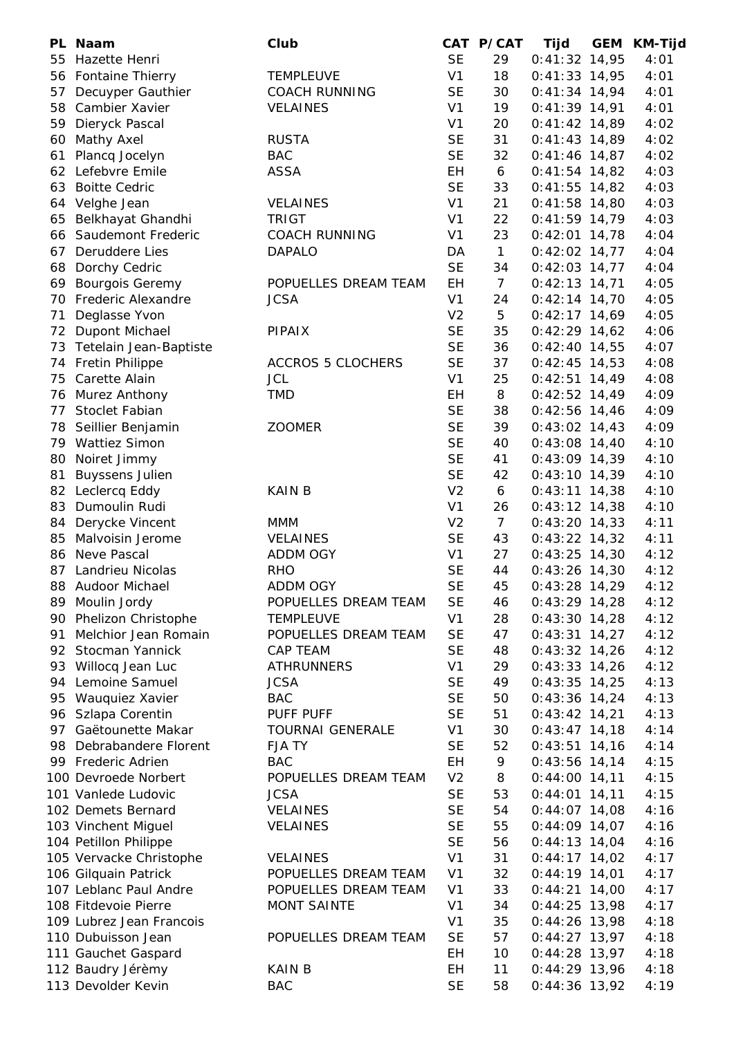|          | PL Naam                        | Club                     |                | CAT P/CAT       | Tijd            | GEM | <b>KM-Tijd</b> |
|----------|--------------------------------|--------------------------|----------------|-----------------|-----------------|-----|----------------|
| 55       | Hazette Henri                  |                          | <b>SE</b>      | 29              | $0:41:32$ 14,95 |     | 4:01           |
| 56       | <b>Fontaine Thierry</b>        | <b>TEMPLEUVE</b>         | V <sub>1</sub> | 18              | $0:41:33$ 14,95 |     | 4:01           |
| 57       | Decuyper Gauthier              | <b>COACH RUNNING</b>     | <b>SE</b>      | 30              | $0:41:34$ 14,94 |     | 4:01           |
| 58       | Cambier Xavier                 | <b>VELAINES</b>          | V <sub>1</sub> | 19              | $0:41:39$ 14,91 |     | 4:01           |
| 59       | Dieryck Pascal                 |                          | V <sub>1</sub> | 20              | $0:41:42$ 14,89 |     | 4:02           |
| 60       | <b>Mathy Axel</b>              | <b>RUSTA</b>             | <b>SE</b>      | 31              | $0:41:43$ 14,89 |     | 4:02           |
| 61       | Plancq Jocelyn                 | <b>BAC</b>               | <b>SE</b>      | 32              | $0:41:46$ 14,87 |     | 4:02           |
| 62       | Lefebvre Emile                 | <b>ASSA</b>              | EH             | 6               | $0:41:54$ 14,82 |     | 4:03           |
| 63       | <b>Boitte Cedric</b>           |                          | <b>SE</b>      | 33              | $0:41:55$ 14,82 |     | 4:03           |
|          | 64 Velghe Jean                 | <b>VELAINES</b>          | V <sub>1</sub> | 21              | $0:41:58$ 14,80 |     | 4:03           |
| 65       | Belkhayat Ghandhi              | <b>TRIGT</b>             | V <sub>1</sub> | 22              | $0:41:59$ 14,79 |     | 4:03           |
|          | 66 Saudemont Frederic          | <b>COACH RUNNING</b>     | V <sub>1</sub> | 23              | $0:42:01$ 14,78 |     | 4:04           |
|          | 67 Deruddere Lies              | <b>DAPALO</b>            | DA             | $\mathbf{1}$    | $0:42:02$ 14,77 |     | 4:04           |
| 68       | Dorchy Cedric                  |                          | <b>SE</b>      | 34              | $0:42:03$ 14,77 |     | 4:04           |
| 69       | <b>Bourgois Geremy</b>         | POPUELLES DREAM TEAM     | EH             | $7\overline{ }$ | $0:42:13$ 14,71 |     | 4:05           |
| 70       | <b>Frederic Alexandre</b>      | <b>JCSA</b>              | V <sub>1</sub> | 24              | $0:42:14$ 14,70 |     | 4:05           |
| 71       | Deglasse Yvon                  |                          | V <sub>2</sub> | 5               | $0:42:17$ 14,69 |     | 4:05           |
| 72       | Dupont Michael                 | <b>PIPAIX</b>            | <b>SE</b>      | 35              | $0:42:29$ 14,62 |     | 4:06           |
| 73       | Tetelain Jean-Baptiste         |                          | <b>SE</b>      | 36              | $0:42:40$ 14,55 |     | 4:07           |
| 74       | <b>Fretin Philippe</b>         | <b>ACCROS 5 CLOCHERS</b> | <b>SE</b>      | 37              | $0:42:45$ 14,53 |     | 4:08           |
| 75       | Carette Alain                  | <b>JCL</b>               | V <sub>1</sub> | 25              | $0:42:51$ 14,49 |     | 4:08           |
| 76       | Murez Anthony                  | <b>TMD</b>               | EH             | 8               | $0:42:52$ 14,49 |     | 4:09           |
| 77       | Stoclet Fabian                 |                          | <b>SE</b>      | 38              | $0:42:56$ 14,46 |     | 4:09           |
|          | 78 Seillier Benjamin           | <b>ZOOMER</b>            | <b>SE</b>      | 39              | $0:43:02$ 14,43 |     | 4:09           |
|          | 79 Wattiez Simon               |                          | <b>SE</b>      | 40              | $0:43:08$ 14,40 |     | 4:10           |
| 80       | Noiret Jimmy                   |                          | <b>SE</b>      | 41              | $0:43:09$ 14,39 |     | 4:10           |
| 81       | <b>Buyssens Julien</b>         |                          | <b>SE</b>      | 42              | $0:43:10$ 14,39 |     | 4:10           |
|          |                                |                          | V <sub>2</sub> |                 |                 |     |                |
| 82<br>83 | Leclercq Eddy<br>Dumoulin Rudi | <b>KAIN B</b>            | V <sub>1</sub> | 6<br>26         | $0:43:11$ 14,38 |     | 4:10           |
|          |                                |                          |                |                 | $0:43:12$ 14,38 |     | 4:10           |
| 84       | Derycke Vincent                | <b>MMM</b>               | V <sub>2</sub> | $\overline{7}$  | $0:43:20$ 14,33 |     | 4:11           |
| 85       | Malvoisin Jerome               | <b>VELAINES</b>          | <b>SE</b>      | 43              | $0:43:22$ 14,32 |     | 4:11           |
| 86       | Neve Pascal                    | ADDM OGY                 | V <sub>1</sub> | 27              | $0:43:25$ 14,30 |     | 4:12           |
| 87       | Landrieu Nicolas               | <b>RHO</b>               | <b>SE</b>      | 44              | $0:43:26$ 14,30 |     | 4:12           |
|          | 88 Audoor Michael              | ADDM OGY                 | <b>SE</b>      | 45              | $0:43:28$ 14,29 |     | 4:12           |
|          | 89 Moulin Jordy                | POPUELLES DREAM TEAM     | <b>SE</b>      | 46              | $0:43:29$ 14,28 |     | 4:12           |
|          | 90 Phelizon Christophe         | <b>TEMPLEUVE</b>         | V <sub>1</sub> | 28              | $0:43:30$ 14,28 |     | 4:12           |
|          | 91 Melchior Jean Romain        | POPUELLES DREAM TEAM     | <b>SE</b>      | 47              | $0:43:31$ 14,27 |     | 4:12           |
|          | 92 Stocman Yannick             | CAP TEAM                 | <b>SE</b>      | 48              | $0:43:32$ 14,26 |     | 4:12           |
|          | 93 Willocq Jean Luc            | <b>ATHRUNNERS</b>        | V <sub>1</sub> | 29              | $0:43:33$ 14,26 |     | 4:12           |
|          | 94 Lemoine Samuel              | <b>JCSA</b>              | <b>SE</b>      | 49              | $0:43:35$ 14,25 |     | 4:13           |
|          | 95 Wauquiez Xavier             | <b>BAC</b>               | <b>SE</b>      | 50              | $0:43:36$ 14,24 |     | 4:13           |
|          | 96 Szlapa Corentin             | PUFF PUFF                | <b>SE</b>      | 51              | $0:43:42$ 14,21 |     | 4:13           |
|          | 97 Gaëtounette Makar           | TOURNAI GENERALE         | V <sub>1</sub> | 30              | $0:43:47$ 14,18 |     | 4:14           |
|          | 98 Debrabandere Florent        | <b>FJATY</b>             | <b>SE</b>      | 52              | $0:43:51$ 14,16 |     | 4:14           |
|          | 99 Frederic Adrien             | <b>BAC</b>               | EH             | 9               | $0:43:56$ 14,14 |     | 4:15           |
|          | 100 Devroede Norbert           | POPUELLES DREAM TEAM     | V <sub>2</sub> | 8               | $0:44:00$ 14,11 |     | 4:15           |
|          | 101 Vanlede Ludovic            | <b>JCSA</b>              | <b>SE</b>      | 53              | $0:44:01$ 14,11 |     | 4:15           |
|          | 102 Demets Bernard             | <b>VELAINES</b>          | <b>SE</b>      | 54              | $0:44:07$ 14,08 |     | 4:16           |
|          | 103 Vinchent Miguel            | <b>VELAINES</b>          | <b>SE</b>      | 55              | $0:44:09$ 14,07 |     | 4:16           |
|          | 104 Petillon Philippe          |                          | <b>SE</b>      | 56              | $0:44:13$ 14,04 |     | 4:16           |
|          | 105 Vervacke Christophe        | <b>VELAINES</b>          | V <sub>1</sub> | 31              | $0:44:17$ 14,02 |     | 4:17           |
|          | 106 Gilquain Patrick           | POPUELLES DREAM TEAM     | V <sub>1</sub> | 32              | $0:44:19$ 14,01 |     | 4:17           |
|          | 107 Leblanc Paul Andre         | POPUELLES DREAM TEAM     | V <sub>1</sub> | 33              | $0:44:21$ 14,00 |     | 4:17           |
|          | 108 Fitdevoie Pierre           | <b>MONT SAINTE</b>       | V <sub>1</sub> | 34              | $0:44:25$ 13,98 |     | 4:17           |
|          | 109 Lubrez Jean Francois       |                          | V <sub>1</sub> | 35              | $0:44:26$ 13,98 |     | 4:18           |
|          | 110 Dubuisson Jean             | POPUELLES DREAM TEAM     | <b>SE</b>      | 57              | $0:44:27$ 13,97 |     | 4:18           |
|          | 111 Gauchet Gaspard            |                          | <b>EH</b>      | 10              | $0:44:28$ 13,97 |     | 4:18           |
|          | 112 Baudry Jérèmy              | <b>KAIN B</b>            | <b>EH</b>      | 11              | $0:44:29$ 13,96 |     | 4:18           |
|          | 113 Devolder Kevin             | <b>BAC</b>               | <b>SE</b>      | 58              | $0:44:36$ 13,92 |     | 4:19           |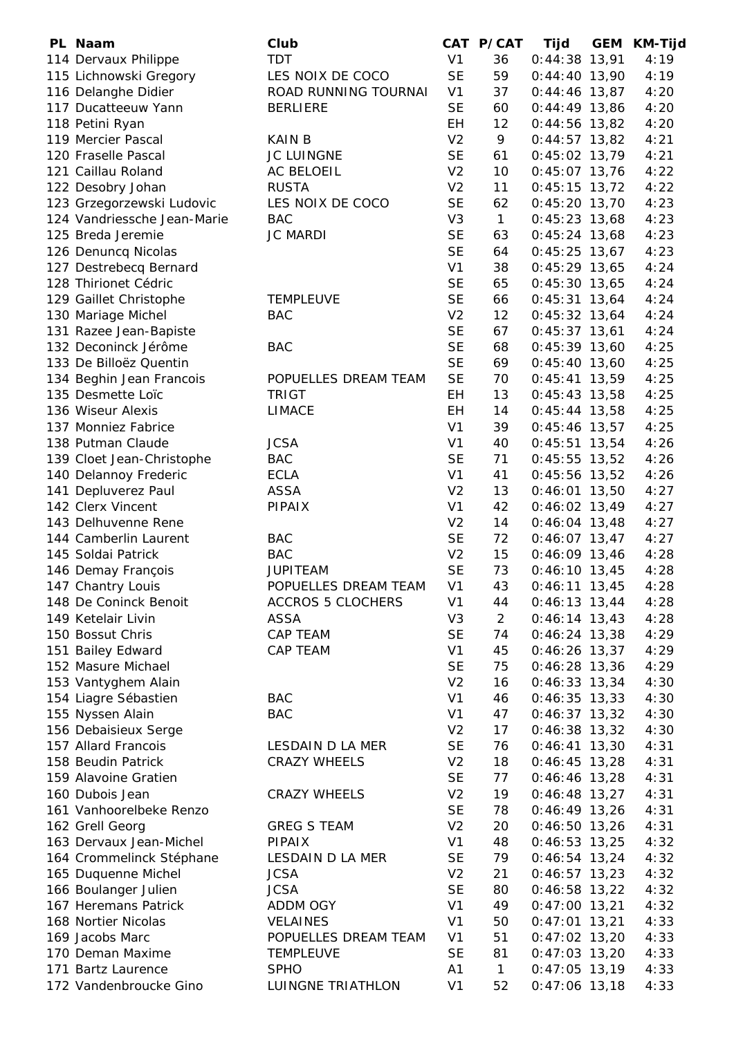| PL Naam                     | Club                     |                | CAT P/CAT      | Tijd            | <b>GEM</b> | <b>KM-Tijd</b> |
|-----------------------------|--------------------------|----------------|----------------|-----------------|------------|----------------|
| 114 Dervaux Philippe        | <b>TDT</b>               | V <sub>1</sub> | 36             | $0:44:38$ 13,91 |            | 4:19           |
| 115 Lichnowski Gregory      | LES NOIX DE COCO         | <b>SE</b>      | 59             | $0:44:40$ 13,90 |            | 4:19           |
| 116 Delanghe Didier         | ROAD RUNNING TOURNAI     | V <sub>1</sub> | 37             | $0:44:46$ 13,87 |            | 4:20           |
| 117 Ducatteeuw Yann         | <b>BERLIERE</b>          | <b>SE</b>      | 60             | $0:44:49$ 13,86 |            | 4:20           |
| 118 Petini Ryan             |                          | EH             | 12             | $0:44:56$ 13,82 |            | 4:20           |
| 119 Mercier Pascal          | <b>KAIN B</b>            | V <sub>2</sub> | 9              | $0:44:57$ 13,82 |            | 4:21           |
| 120 Fraselle Pascal         | <b>JC LUINGNE</b>        | <b>SE</b>      | 61             | $0:45:02$ 13,79 |            | 4:21           |
| 121 Caillau Roland          | AC BELOEIL               | V <sub>2</sub> | 10             | $0:45:07$ 13,76 |            | 4:22           |
| 122 Desobry Johan           | <b>RUSTA</b>             | V <sub>2</sub> | 11             | $0:45:15$ 13,72 |            | 4:22           |
| 123 Grzegorzewski Ludovic   | LES NOIX DE COCO         | <b>SE</b>      | 62             | $0:45:20$ 13,70 |            | 4:23           |
| 124 Vandriessche Jean-Marie | <b>BAC</b>               | V <sub>3</sub> | $\mathbf{1}$   | $0:45:23$ 13,68 |            | 4:23           |
| 125 Breda Jeremie           | <b>JC MARDI</b>          | <b>SE</b>      | 63             | $0:45:24$ 13,68 |            | 4:23           |
| 126 Denuncq Nicolas         |                          | <b>SE</b>      | 64             | $0:45:25$ 13,67 |            | 4:23           |
| 127 Destrebecq Bernard      |                          | V <sub>1</sub> | 38             | $0:45:29$ 13,65 |            | 4:24           |
| 128 Thirionet Cédric        |                          | <b>SE</b>      | 65             | $0:45:30$ 13,65 |            | 4:24           |
| 129 Gaillet Christophe      | <b>TEMPLEUVE</b>         | <b>SE</b>      | 66             | $0:45:31$ 13,64 |            | 4:24           |
| 130 Mariage Michel          | <b>BAC</b>               | V <sub>2</sub> | 12             | $0:45:32$ 13,64 |            | 4:24           |
| 131 Razee Jean-Bapiste      |                          | <b>SE</b>      | 67             | $0:45:37$ 13,61 |            | 4:24           |
| 132 Deconinck Jérôme        | <b>BAC</b>               | <b>SE</b>      | 68             | $0:45:39$ 13,60 |            | 4:25           |
| 133 De Billoëz Quentin      |                          | <b>SE</b>      | 69             | $0:45:40$ 13,60 |            | 4:25           |
| 134 Beghin Jean Francois    | POPUELLES DREAM TEAM     | <b>SE</b>      | 70             | $0:45:41$ 13,59 |            | 4:25           |
| 135 Desmette Loïc           | <b>TRIGT</b>             | EH             | 13             | $0:45:43$ 13,58 |            | 4:25           |
| 136 Wiseur Alexis           | <b>LIMACE</b>            | EH             | 14             | $0:45:44$ 13,58 |            | 4:25           |
| 137 Monniez Fabrice         |                          | V <sub>1</sub> | 39             | $0:45:46$ 13,57 |            | 4:25           |
| 138 Putman Claude           | <b>JCSA</b>              | V <sub>1</sub> | 40             | $0:45:51$ 13,54 |            | 4:26           |
| 139 Cloet Jean-Christophe   | <b>BAC</b>               | <b>SE</b>      | 71             | $0:45:55$ 13,52 |            | 4:26           |
| 140 Delannoy Frederic       | <b>ECLA</b>              | V <sub>1</sub> | 41             | $0:45:56$ 13,52 |            | 4:26           |
| 141 Depluverez Paul         | <b>ASSA</b>              | V <sub>2</sub> | 13             | $0:46:01$ 13,50 |            | 4:27           |
| 142 Clerx Vincent           | <b>PIPAIX</b>            | V <sub>1</sub> | 42             | $0:46:02$ 13,49 |            | 4:27           |
| 143 Delhuvenne Rene         |                          | V <sub>2</sub> | 14             | $0:46:04$ 13,48 |            | 4:27           |
| 144 Camberlin Laurent       | <b>BAC</b>               | <b>SE</b>      | 72             | $0:46:07$ 13,47 |            | 4:27           |
| 145 Soldai Patrick          | <b>BAC</b>               | V <sub>2</sub> | 15             | $0:46:09$ 13,46 |            | 4:28           |
| 146 Demay François          | <b>JUPITEAM</b>          | <b>SE</b>      | 73             | $0:46:10$ 13,45 |            | 4:28           |
| 147 Chantry Louis           | POPUELLES DREAM TEAM     | V <sub>1</sub> | 43             | $0:46:11$ 13,45 |            | 4:28           |
| 148 De Coninck Benoit       | <b>ACCROS 5 CLOCHERS</b> | V <sub>1</sub> | 44             | $0:46:13$ 13,44 |            | 4:28           |
| 149 Ketelair Livin          | ASSA                     | V <sub>3</sub> | $\overline{2}$ | $0:46:14$ 13,43 |            | 4:28           |
| 150 Bossut Chris            | CAP TEAM                 | <b>SE</b>      | 74             | $0:46:24$ 13,38 |            | 4:29           |
| 151 Bailey Edward           | <b>CAP TEAM</b>          | V <sub>1</sub> | 45             | $0:46:26$ 13,37 |            | 4:29           |
| 152 Masure Michael          |                          | <b>SE</b>      | 75             | $0:46:28$ 13,36 |            | 4:29           |
| 153 Vantyghem Alain         |                          | V <sub>2</sub> | 16             | $0:46:33$ 13,34 |            | 4:30           |
| 154 Liagre Sébastien        | <b>BAC</b>               | V <sub>1</sub> | 46             | $0:46:35$ 13,33 |            | 4:30           |
| 155 Nyssen Alain            | <b>BAC</b>               | V <sub>1</sub> | 47             | $0:46:37$ 13,32 |            | 4:30           |
| 156 Debaisieux Serge        |                          | V <sub>2</sub> | 17             | $0:46:38$ 13,32 |            | 4:30           |
| 157 Allard Francois         | LESDAIN D LA MER         | <b>SE</b>      | 76             | $0:46:41$ 13,30 |            | 4:31           |
| 158 Beudin Patrick          | <b>CRAZY WHEELS</b>      | V <sub>2</sub> | 18             | $0:46:45$ 13,28 |            | 4:31           |
| 159 Alavoine Gratien        |                          | <b>SE</b>      | 77             | $0:46:46$ 13,28 |            | 4:31           |
| 160 Dubois Jean             | <b>CRAZY WHEELS</b>      | V <sub>2</sub> | 19             | $0:46:48$ 13,27 |            | 4:31           |
| 161 Vanhoorelbeke Renzo     |                          | <b>SE</b>      | 78             | $0:46:49$ 13,26 |            | 4:31           |
| 162 Grell Georg             | <b>GREG S TEAM</b>       | V <sub>2</sub> | 20             | $0:46:50$ 13,26 |            | 4:31           |
| 163 Dervaux Jean-Michel     | <b>PIPAIX</b>            | V <sub>1</sub> | 48             | $0:46:53$ 13,25 |            | 4:32           |
| 164 Crommelinck Stéphane    | LESDAIN D LA MER         | <b>SE</b>      | 79             | $0:46:54$ 13,24 |            | 4:32           |
| 165 Duquenne Michel         | <b>JCSA</b>              | V <sub>2</sub> | 21             | $0:46:57$ 13,23 |            | 4:32           |
| 166 Boulanger Julien        | <b>JCSA</b>              | <b>SE</b>      | 80             | $0:46:58$ 13,22 |            | 4:32           |
| 167 Heremans Patrick        | ADDM OGY                 | V <sub>1</sub> | 49             | $0:47:00$ 13,21 |            | 4:32           |
| 168 Nortier Nicolas         | <b>VELAINES</b>          | V <sub>1</sub> | 50             | $0:47:01$ 13,21 |            | 4:33           |
| 169 Jacobs Marc             | POPUELLES DREAM TEAM     | V <sub>1</sub> | 51             | $0:47:02$ 13,20 |            | 4:33           |
| 170 Deman Maxime            | <b>TEMPLEUVE</b>         | <b>SE</b>      | 81             | $0:47:03$ 13,20 |            | 4:33           |
| 171 Bartz Laurence          | <b>SPHO</b>              | Α1             | $\mathbf{1}$   | $0:47:05$ 13,19 |            | 4:33           |
| 172 Vandenbroucke Gino      | LUINGNE TRIATHLON        | V <sub>1</sub> | 52             | $0:47:06$ 13,18 |            | 4:33           |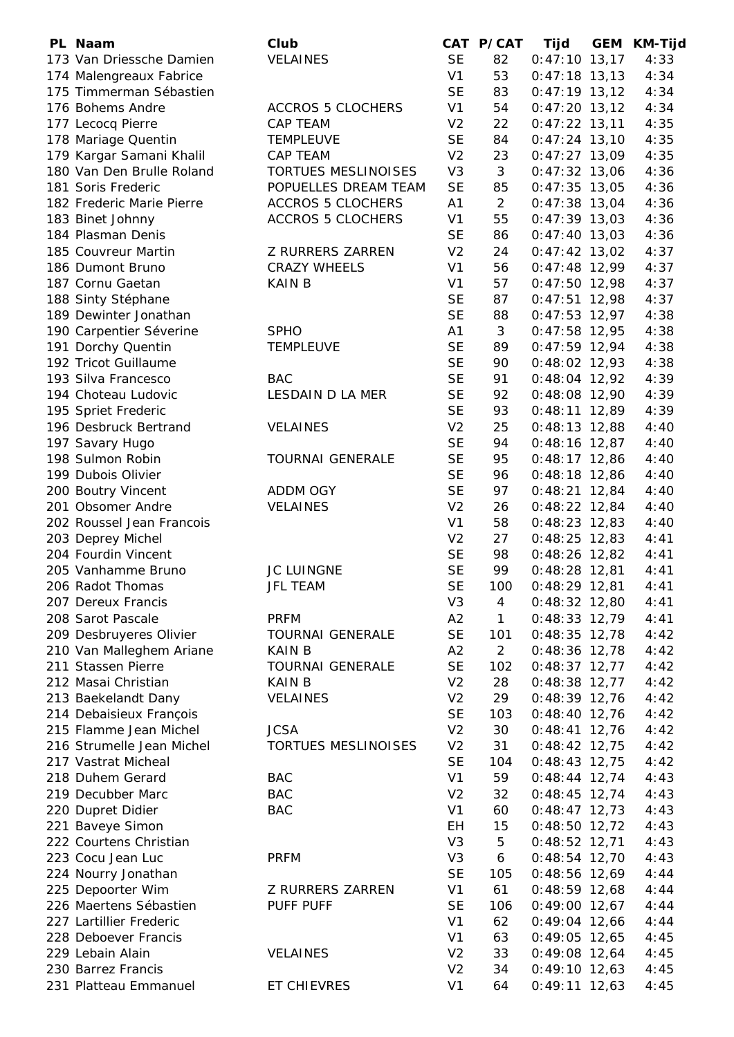| PL Naam                   | Club                       |                | CAT P/CAT      | Tijd            | <b>GEM</b> | <b>KM-Tijd</b> |
|---------------------------|----------------------------|----------------|----------------|-----------------|------------|----------------|
| 173 Van Driessche Damien  | <b>VELAINES</b>            | <b>SE</b>      | 82             | $0:47:10$ 13,17 |            | 4:33           |
| 174 Malengreaux Fabrice   |                            | V <sub>1</sub> | 53             | $0:47:18$ 13,13 |            | 4:34           |
| 175 Timmerman Sébastien   |                            | <b>SE</b>      | 83             | $0:47:19$ 13,12 |            | 4:34           |
| 176 Bohems Andre          | <b>ACCROS 5 CLOCHERS</b>   | V <sub>1</sub> | 54             | $0:47:20$ 13,12 |            | 4:34           |
| 177 Lecocq Pierre         | <b>CAP TEAM</b>            | V <sub>2</sub> | 22             | $0:47:22$ 13,11 |            | 4:35           |
| 178 Mariage Quentin       | <b>TEMPLEUVE</b>           | <b>SE</b>      | 84             | $0:47:24$ 13,10 |            | 4:35           |
| 179 Kargar Samani Khalil  | CAP TEAM                   | V <sub>2</sub> | 23             | $0:47:27$ 13,09 |            | 4:35           |
| 180 Van Den Brulle Roland | <b>TORTUES MESLINOISES</b> | V <sub>3</sub> | 3              | $0:47:32$ 13,06 |            | 4:36           |
| 181 Soris Frederic        | POPUELLES DREAM TEAM       | <b>SE</b>      | 85             | $0:47:35$ 13,05 |            | 4:36           |
| 182 Frederic Marie Pierre | <b>ACCROS 5 CLOCHERS</b>   | A1             | $\overline{2}$ | $0:47:38$ 13,04 |            | 4:36           |
| 183 Binet Johnny          | <b>ACCROS 5 CLOCHERS</b>   | V <sub>1</sub> | 55             | $0:47:39$ 13,03 |            | 4:36           |
| 184 Plasman Denis         |                            | <b>SE</b>      | 86             | $0:47:40$ 13,03 |            | 4:36           |
| 185 Couvreur Martin       | <b>Z RURRERS ZARREN</b>    | V <sub>2</sub> | 24             | $0:47:42$ 13,02 |            | 4:37           |
| 186 Dumont Bruno          | <b>CRAZY WHEELS</b>        | V <sub>1</sub> | 56             | $0:47:48$ 12,99 |            | 4:37           |
| 187 Cornu Gaetan          | <b>KAIN B</b>              | V <sub>1</sub> | 57             | $0:47:50$ 12,98 |            | 4:37           |
| 188 Sinty Stéphane        |                            | <b>SE</b>      | 87             | $0:47:51$ 12,98 |            | 4:37           |
| 189 Dewinter Jonathan     |                            | <b>SE</b>      | 88             | $0:47:53$ 12,97 |            | 4:38           |
| 190 Carpentier Séverine   | <b>SPHO</b>                | A <sub>1</sub> | 3              | $0:47:58$ 12,95 |            | 4:38           |
| 191 Dorchy Quentin        | <b>TEMPLEUVE</b>           | <b>SE</b>      | 89             | $0:47:59$ 12,94 |            | 4:38           |
| 192 Tricot Guillaume      |                            | <b>SE</b>      | 90             | $0:48:02$ 12,93 |            | 4:38           |
| 193 Silva Francesco       | <b>BAC</b>                 | <b>SE</b>      | 91             | $0:48:04$ 12,92 |            | 4:39           |
| 194 Choteau Ludovic       | LESDAIN D LA MER           | <b>SE</b>      | 92             | $0:48:08$ 12,90 |            | 4:39           |
| 195 Spriet Frederic       |                            | <b>SE</b>      | 93             | $0:48:11$ 12,89 |            | 4:39           |
| 196 Desbruck Bertrand     | <b>VELAINES</b>            | V <sub>2</sub> | 25             | $0:48:13$ 12,88 |            | 4:40           |
| 197 Savary Hugo           |                            | <b>SE</b>      | 94             | $0:48:16$ 12,87 |            | 4:40           |
| 198 Sulmon Robin          | <b>TOURNAI GENERALE</b>    | <b>SE</b>      | 95             | $0:48:17$ 12,86 |            | 4:40           |
| 199 Dubois Olivier        |                            | <b>SE</b>      | 96             | $0:48:18$ 12,86 |            | 4:40           |
| 200 Boutry Vincent        | <b>ADDM OGY</b>            | <b>SE</b>      | 97             | $0:48:21$ 12,84 |            | 4:40           |
| 201 Obsomer Andre         | <b>VELAINES</b>            | V <sub>2</sub> | 26             | $0:48:22$ 12,84 |            | 4:40           |
| 202 Roussel Jean Francois |                            | V <sub>1</sub> | 58             | $0:48:23$ 12,83 |            | 4:40           |
| 203 Deprey Michel         |                            | V <sub>2</sub> | 27             | $0:48:25$ 12,83 |            | 4:41           |
| 204 Fourdin Vincent       |                            | <b>SE</b>      | 98             | 0:48:26 12,82   |            | 4:41           |
| 205 Vanhamme Bruno        | <b>JC LUINGNE</b>          | <b>SE</b>      | 99             | $0:48:28$ 12,81 |            | 4:41           |
| 206 Radot Thomas          | <b>JFL TEAM</b>            | <b>SE</b>      | 100            | $0:48:29$ 12,81 |            | 4:41           |
| 207 Dereux Francis        |                            | V <sub>3</sub> | 4              | $0:48:32$ 12,80 |            | 4:41           |
| 208 Sarot Pascale         | <b>PRFM</b>                | A2             | $\mathbf{1}$   | $0:48:33$ 12,79 |            | 4:41           |
| 209 Desbruyeres Olivier   | <b>TOURNAI GENERALE</b>    | <b>SE</b>      | 101            | $0:48:35$ 12,78 |            | 4:42           |
| 210 Van Malleghem Ariane  | KAIN B                     | A2             | $\overline{2}$ | $0:48:36$ 12,78 |            | 4:42           |
| 211 Stassen Pierre        | <b>TOURNAI GENERALE</b>    | <b>SE</b>      | 102            | $0:48:37$ 12,77 |            | 4:42           |
| 212 Masai Christian       | <b>KAIN B</b>              | V <sub>2</sub> | 28             | $0:48:38$ 12,77 |            | 4:42           |
| 213 Baekelandt Dany       | <b>VELAINES</b>            | V <sub>2</sub> | 29             | $0:48:39$ 12,76 |            | 4:42           |
| 214 Debaisieux François   |                            | <b>SE</b>      | 103            | $0:48:40$ 12,76 |            | 4:42           |
| 215 Flamme Jean Michel    | <b>JCSA</b>                | V <sub>2</sub> | 30             | $0:48:41$ 12,76 |            | 4:42           |
| 216 Strumelle Jean Michel | <b>TORTUES MESLINOISES</b> | V <sub>2</sub> | 31             | $0:48:42$ 12,75 |            | 4:42           |
| 217 Vastrat Micheal       |                            | <b>SE</b>      | 104            | $0:48:43$ 12,75 |            | 4:42           |
| 218 Duhem Gerard          | <b>BAC</b>                 | V <sub>1</sub> | 59             | $0:48:44$ 12,74 |            | 4:43           |
| 219 Decubber Marc         | <b>BAC</b>                 | V <sub>2</sub> | 32             | $0:48:45$ 12,74 |            | 4:43           |
| 220 Dupret Didier         | <b>BAC</b>                 | V <sub>1</sub> | 60             | $0:48:47$ 12,73 |            | 4:43           |
| 221 Baveye Simon          |                            | EH             | 15             | $0:48:50$ 12,72 |            | 4:43           |
| 222 Courtens Christian    |                            | V <sub>3</sub> | 5              | $0:48:52$ 12,71 |            | 4:43           |
| 223 Cocu Jean Luc         | <b>PRFM</b>                | V <sub>3</sub> | 6              | $0:48:54$ 12,70 |            | 4:43           |
| 224 Nourry Jonathan       |                            | <b>SE</b>      | 105            | $0:48:56$ 12,69 |            | 4:44           |
| 225 Depoorter Wim         | <b>Z RURRERS ZARREN</b>    | V <sub>1</sub> | 61             | $0:48:59$ 12,68 |            | 4:44           |
| 226 Maertens Sébastien    | PUFF PUFF                  | <b>SE</b>      | 106            | $0:49:00$ 12,67 |            | 4:44           |
| 227 Lartillier Frederic   |                            | V <sub>1</sub> | 62             | $0:49:04$ 12,66 |            | 4:44           |
| 228 Deboever Francis      |                            | V <sub>1</sub> | 63             | $0:49:05$ 12,65 |            | 4:45           |
| 229 Lebain Alain          | <b>VELAINES</b>            | V <sub>2</sub> | 33             | $0:49:08$ 12,64 |            | 4:45           |
| 230 Barrez Francis        |                            | V <sub>2</sub> | 34             | $0:49:10$ 12,63 |            | 4:45           |
| 231 Platteau Emmanuel     | ET CHIEVRES                | V <sub>1</sub> | 64             | $0:49:11$ 12,63 |            | 4:45           |
|                           |                            |                |                |                 |            |                |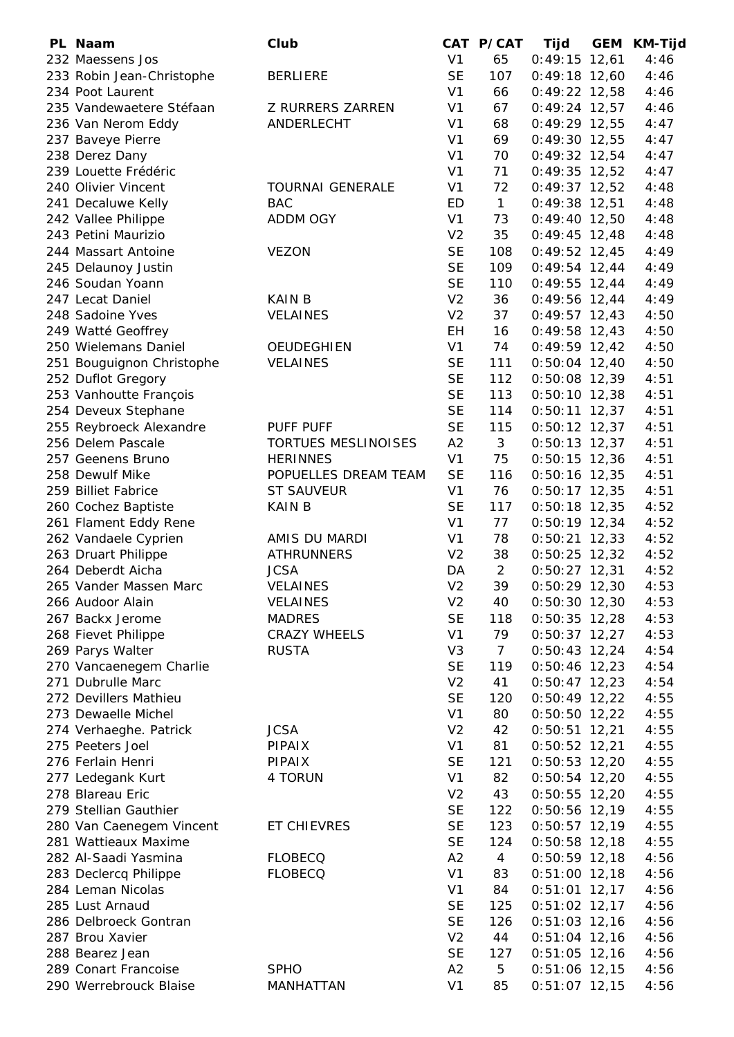| PL Naam                   | Club                       |                | CAT P/CAT      | <b>Tijd</b>     | GEM | <b>KM-Tijd</b> |
|---------------------------|----------------------------|----------------|----------------|-----------------|-----|----------------|
| 232 Maessens Jos          |                            | V <sub>1</sub> | 65             | $0:49:15$ 12,61 |     | 4:46           |
| 233 Robin Jean-Christophe | <b>BERLIERE</b>            | <b>SE</b>      | 107            | $0:49:18$ 12,60 |     | 4:46           |
| 234 Poot Laurent          |                            | V <sub>1</sub> | 66             | $0:49:22$ 12,58 |     | 4:46           |
| 235 Vandewaetere Stéfaan  | Z RURRERS ZARREN           | V <sub>1</sub> | 67             | $0:49:24$ 12,57 |     | 4:46           |
| 236 Van Nerom Eddy        | ANDERLECHT                 | V <sub>1</sub> | 68             | $0:49:29$ 12,55 |     | 4:47           |
| 237 Baveye Pierre         |                            | V <sub>1</sub> | 69             | $0:49:30$ 12,55 |     | 4:47           |
| 238 Derez Dany            |                            | V <sub>1</sub> | 70             | $0:49:32$ 12,54 |     | 4:47           |
| 239 Louette Frédéric      |                            | V <sub>1</sub> | 71             | $0:49:35$ 12,52 |     | 4:47           |
| 240 Olivier Vincent       | <b>TOURNAI GENERALE</b>    | V <sub>1</sub> | 72             | $0:49:37$ 12,52 |     | 4:48           |
| 241 Decaluwe Kelly        | <b>BAC</b>                 | ED             | $\mathbf{1}$   | $0:49:38$ 12,51 |     | 4:48           |
| 242 Vallee Philippe       | <b>ADDM OGY</b>            | V <sub>1</sub> | 73             | $0:49:40$ 12,50 |     | 4:48           |
| 243 Petini Maurizio       |                            | V <sub>2</sub> | 35             | $0:49:45$ 12,48 |     | 4:48           |
| 244 Massart Antoine       | <b>VEZON</b>               | <b>SE</b>      | 108            | $0:49:52$ 12,45 |     | 4:49           |
| 245 Delaunoy Justin       |                            | <b>SE</b>      | 109            | $0:49:54$ 12,44 |     | 4:49           |
| 246 Soudan Yoann          |                            | <b>SE</b>      | 110            | $0:49:55$ 12,44 |     | 4:49           |
| 247 Lecat Daniel          | <b>KAIN B</b>              | V <sub>2</sub> | 36             | $0:49:56$ 12,44 |     | 4:49           |
| 248 Sadoine Yves          | <b>VELAINES</b>            | V <sub>2</sub> | 37             | $0:49:57$ 12,43 |     | 4:50           |
| 249 Watté Geoffrey        |                            | EH             | 16             | $0:49:58$ 12,43 |     | 4:50           |
| 250 Wielemans Daniel      | <b>OEUDEGHIEN</b>          | V <sub>1</sub> | 74             | $0:49:59$ 12,42 |     | 4:50           |
| 251 Bouguignon Christophe | <b>VELAINES</b>            | <b>SE</b>      | 111            | $0:50:04$ 12,40 |     | 4:50           |
| 252 Duflot Gregory        |                            | <b>SE</b>      | 112            | $0:50:08$ 12,39 |     | 4:51           |
| 253 Vanhoutte François    |                            | <b>SE</b>      | 113            | $0:50:10$ 12,38 |     | 4:51           |
| 254 Deveux Stephane       |                            | <b>SE</b>      | 114            | $0:50:11$ 12,37 |     | 4:51           |
| 255 Reybroeck Alexandre   | PUFF PUFF                  | <b>SE</b>      | 115            | $0:50:12$ 12,37 |     | 4:51           |
| 256 Delem Pascale         | <b>TORTUES MESLINOISES</b> | A2             | 3              | $0:50:13$ 12,37 |     | 4:51           |
| 257 Geenens Bruno         | <b>HERINNES</b>            | V <sub>1</sub> | 75             | $0:50:15$ 12,36 |     | 4:51           |
| 258 Dewulf Mike           | POPUELLES DREAM TEAM       | <b>SE</b>      | 116            | $0:50:16$ 12,35 |     | 4:51           |
| 259 Billiet Fabrice       | <b>ST SAUVEUR</b>          | V <sub>1</sub> | 76             | $0:50:17$ 12,35 |     | 4:51           |
| 260 Cochez Baptiste       | <b>KAIN B</b>              | <b>SE</b>      | 117            | $0:50:18$ 12,35 |     | 4:52           |
| 261 Flament Eddy Rene     |                            | V <sub>1</sub> | 77             | $0:50:19$ 12,34 |     | 4:52           |
| 262 Vandaele Cyprien      | AMIS DU MARDI              | V <sub>1</sub> | 78             | $0:50:21$ 12,33 |     | 4:52           |
| 263 Druart Philippe       | <b>ATHRUNNERS</b>          | V <sub>2</sub> | 38             | $0:50:25$ 12,32 |     | 4:52           |
| 264 Deberdt Aicha         | <b>JCSA</b>                | DA             | $\overline{2}$ | $0:50:27$ 12,31 |     | 4:52           |
| 265 Vander Massen Marc    | <b>VELAINES</b>            | V <sub>2</sub> | 39             | $0:50:29$ 12,30 |     | 4:53           |
| 266 Audoor Alain          | <b>VELAINES</b>            | V <sub>2</sub> | 40             | $0:50:30$ 12,30 |     | 4:53           |
| 267 Backx Jerome          | <b>MADRES</b>              | <b>SE</b>      | 118            | $0:50:35$ 12,28 |     | 4:53           |
| 268 Fievet Philippe       | <b>CRAZY WHEELS</b>        | V <sub>1</sub> | 79             | $0:50:37$ 12,27 |     | 4:53           |
| 269 Parys Walter          | <b>RUSTA</b>               | V <sub>3</sub> | $\overline{7}$ | $0:50:43$ 12,24 |     | 4:54           |
| 270 Vancaenegem Charlie   |                            | <b>SE</b>      | 119            | $0:50:46$ 12,23 |     | 4:54           |
| 271 Dubrulle Marc         |                            | V <sub>2</sub> | 41             | $0:50:47$ 12,23 |     | 4:54           |
| 272 Devillers Mathieu     |                            | <b>SE</b>      | 120            | $0:50:49$ 12,22 |     | 4:55           |
| 273 Dewaelle Michel       |                            | V <sub>1</sub> | 80             | $0:50:50$ 12,22 |     | 4:55           |
| 274 Verhaeghe. Patrick    | <b>JCSA</b>                | V <sub>2</sub> | 42             | $0:50:51$ 12,21 |     | 4:55           |
| 275 Peeters Joel          | PIPAIX                     | V <sub>1</sub> | 81             | $0:50:52$ 12,21 |     | 4:55           |
| 276 Ferlain Henri         | PIPAIX                     | <b>SE</b>      | 121            | $0:50:53$ 12,20 |     | 4:55           |
| 277 Ledegank Kurt         | 4 TORUN                    | V <sub>1</sub> | 82             | $0:50:54$ 12,20 |     | 4:55           |
| 278 Blareau Eric          |                            | V <sub>2</sub> | 43             | $0:50:55$ 12,20 |     | 4:55           |
| 279 Stellian Gauthier     |                            | <b>SE</b>      | 122            | $0:50:56$ 12,19 |     | 4:55           |
| 280 Van Caenegem Vincent  | ET CHIEVRES                | <b>SE</b>      | 123            | $0:50:57$ 12,19 |     | 4:55           |
| 281 Wattieaux Maxime      |                            | <b>SE</b>      | 124            | $0:50:58$ 12,18 |     | 4:55           |
| 282 Al-Saadi Yasmina      | <b>FLOBECQ</b>             | A2             | $\overline{4}$ | $0:50:59$ 12,18 |     | 4:56           |
| 283 Declercq Philippe     | <b>FLOBECQ</b>             | V <sub>1</sub> | 83             | $0:51:00$ 12,18 |     | 4:56           |
| 284 Leman Nicolas         |                            | V <sub>1</sub> | 84             | $0:51:01$ 12,17 |     | 4:56           |
| 285 Lust Arnaud           |                            | <b>SE</b>      | 125            | $0:51:02$ 12,17 |     | 4:56           |
| 286 Delbroeck Gontran     |                            | <b>SE</b>      | 126            | $0:51:03$ 12,16 |     | 4:56           |
| 287 Brou Xavier           |                            | V <sub>2</sub> | 44             | $0:51:04$ 12,16 |     | 4:56           |
| 288 Bearez Jean           |                            | <b>SE</b>      | 127            | $0:51:05$ 12,16 |     | 4:56           |
| 289 Conart Francoise      | <b>SPHO</b>                | A2             | 5              | $0:51:06$ 12,15 |     | 4:56           |
| 290 Werrebrouck Blaise    | MANHATTAN                  | V <sub>1</sub> | 85             | $0:51:07$ 12,15 |     | 4:56           |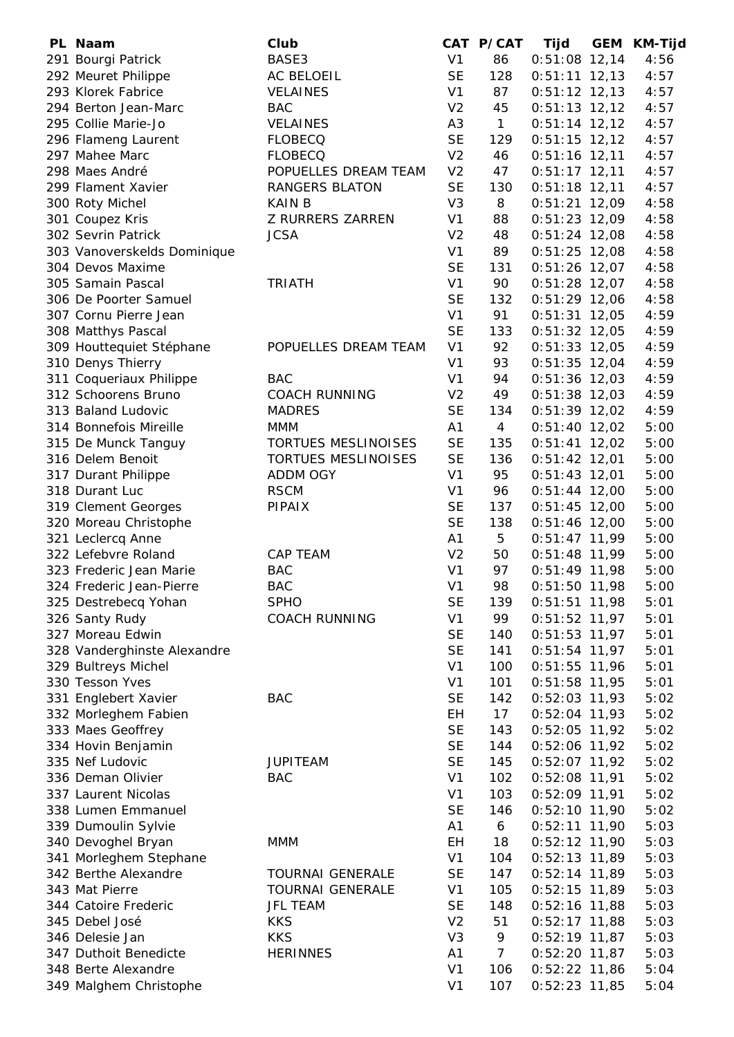| PL Naam                     | Club                       |                | CAT P/CAT      | Tijd            | <b>GEM</b> | KM-Tijd |
|-----------------------------|----------------------------|----------------|----------------|-----------------|------------|---------|
| 291 Bourgi Patrick          | BASE3                      | V <sub>1</sub> | 86             | $0:51:08$ 12,14 |            | 4:56    |
| 292 Meuret Philippe         | AC BELOEIL                 | <b>SE</b>      | 128            | $0:51:11$ 12,13 |            | 4:57    |
| 293 Klorek Fabrice          | <b>VELAINES</b>            | V <sub>1</sub> | 87             | $0:51:12$ 12,13 |            | 4:57    |
| 294 Berton Jean-Marc        | <b>BAC</b>                 | V <sub>2</sub> | 45             | $0:51:13$ 12,12 |            | 4:57    |
| 295 Collie Marie-Jo         | <b>VELAINES</b>            | A <sub>3</sub> | $\mathbf{1}$   | $0:51:14$ 12,12 |            | 4:57    |
| 296 Flameng Laurent         | <b>FLOBECQ</b>             | <b>SE</b>      | 129            | $0:51:15$ 12,12 |            | 4:57    |
| 297 Mahee Marc              | <b>FLOBECQ</b>             | V <sub>2</sub> | 46             | $0:51:16$ 12,11 |            | 4:57    |
| 298 Maes André              | POPUELLES DREAM TEAM       | V <sub>2</sub> | 47             | $0:51:17$ 12,11 |            | 4:57    |
| 299 Flament Xavier          | <b>RANGERS BLATON</b>      | <b>SE</b>      | 130            | $0:51:18$ 12,11 |            | 4:57    |
| 300 Roty Michel             | <b>KAIN B</b>              | V <sub>3</sub> | 8              | $0:51:21$ 12,09 |            | 4:58    |
| 301 Coupez Kris             | Z RURRERS ZARREN           | V <sub>1</sub> | 88             | $0:51:23$ 12,09 |            | 4:58    |
| 302 Sevrin Patrick          | <b>JCSA</b>                | V <sub>2</sub> | 48             | $0:51:24$ 12,08 |            | 4:58    |
| 303 Vanoverskelds Dominique |                            | V <sub>1</sub> | 89             | $0:51:25$ 12,08 |            | 4:58    |
| 304 Devos Maxime            |                            | <b>SE</b>      | 131            | $0:51:26$ 12,07 |            | 4:58    |
| 305 Samain Pascal           | <b>TRIATH</b>              | V <sub>1</sub> | 90             | $0:51:28$ 12,07 |            | 4:58    |
| 306 De Poorter Samuel       |                            | <b>SE</b>      | 132            | $0:51:29$ 12,06 |            | 4:58    |
| 307 Cornu Pierre Jean       |                            | V <sub>1</sub> | 91             | $0:51:31$ 12,05 |            | 4:59    |
| 308 Matthys Pascal          |                            | <b>SE</b>      | 133            | $0:51:32$ 12,05 |            | 4:59    |
| 309 Houttequiet Stéphane    | POPUELLES DREAM TEAM       | V <sub>1</sub> | 92             | $0:51:33$ 12,05 |            | 4:59    |
| 310 Denys Thierry           |                            | V <sub>1</sub> | 93             | $0:51:35$ 12,04 |            | 4:59    |
| 311 Coqueriaux Philippe     | <b>BAC</b>                 | V <sub>1</sub> | 94             | $0:51:36$ 12,03 |            | 4:59    |
| 312 Schoorens Bruno         | <b>COACH RUNNING</b>       | V <sub>2</sub> | 49             | $0:51:38$ 12,03 |            | 4:59    |
| 313 Baland Ludovic          | <b>MADRES</b>              | <b>SE</b>      | 134            | $0:51:39$ 12,02 |            | 4:59    |
| 314 Bonnefois Mireille      | <b>MMM</b>                 | A1             | $\overline{4}$ | $0:51:40$ 12,02 |            | 5:00    |
| 315 De Munck Tanguy         | <b>TORTUES MESLINOISES</b> | <b>SE</b>      | 135            | $0:51:41$ 12,02 |            | 5:00    |
| 316 Delem Benoit            | TORTUES MESLINOISES        | <b>SE</b>      | 136            | $0:51:42$ 12,01 |            | 5:00    |
| 317 Durant Philippe         | <b>ADDM OGY</b>            | V <sub>1</sub> | 95             | $0:51:43$ 12,01 |            | 5:00    |
| 318 Durant Luc              | <b>RSCM</b>                | V <sub>1</sub> | 96             | $0:51:44$ 12,00 |            | 5:00    |
| 319 Clement Georges         | <b>PIPAIX</b>              | <b>SE</b>      | 137            | $0:51:45$ 12,00 |            | 5:00    |
| 320 Moreau Christophe       |                            | <b>SE</b>      | 138            | $0:51:46$ 12,00 |            | 5:00    |
| 321 Leclercq Anne           |                            | A1             | 5              | $0:51:47$ 11,99 |            | 5:00    |
| 322 Lefebvre Roland         | CAP TEAM                   | V <sub>2</sub> | 50             | $0:51:48$ 11,99 |            | 5:00    |
| 323 Frederic Jean Marie     | <b>BAC</b>                 | V <sub>1</sub> | 97             | $0:51:49$ 11,98 |            | 5:00    |
| 324 Frederic Jean-Pierre    | <b>BAC</b>                 | V <sub>1</sub> | 98             | $0:51:50$ 11,98 |            | 5:00    |
| 325 Destrebecq Yohan        | <b>SPHO</b>                | <b>SE</b>      | 139            | $0:51:51$ 11,98 |            | 5:01    |
| 326 Santy Rudy              | <b>COACH RUNNING</b>       | V <sub>1</sub> | 99             | $0:51:52$ 11,97 |            | 5:01    |
| 327 Moreau Edwin            |                            | <b>SE</b>      | 140            | $0:51:53$ 11,97 |            | 5:01    |
| 328 Vanderghinste Alexandre |                            | <b>SE</b>      | 141            | $0:51:54$ 11,97 |            | 5:01    |
| 329 Bultreys Michel         |                            | V <sub>1</sub> | 100            | $0:51:55$ 11,96 |            | 5:01    |
| 330 Tesson Yves             |                            | V <sub>1</sub> | 101            | $0:51:58$ 11,95 |            | 5:01    |
| 331 Englebert Xavier        | <b>BAC</b>                 | <b>SE</b>      | 142            | $0:52:03$ 11,93 |            | 5:02    |
| 332 Morleghem Fabien        |                            | EH             | 17             | $0:52:04$ 11,93 |            | 5:02    |
| 333 Maes Geoffrey           |                            | <b>SE</b>      | 143            | $0:52:05$ 11,92 |            | 5:02    |
| 334 Hovin Benjamin          |                            | <b>SE</b>      | 144            | $0:52:06$ 11,92 |            | 5:02    |
| 335 Nef Ludovic             | <b>JUPITEAM</b>            | <b>SE</b>      | 145            | $0:52:07$ 11,92 |            | 5:02    |
| 336 Deman Olivier           | <b>BAC</b>                 | V <sub>1</sub> | 102            | $0:52:08$ 11,91 |            | 5:02    |
| 337 Laurent Nicolas         |                            | V <sub>1</sub> | 103            | $0:52:09$ 11,91 |            | 5:02    |
| 338 Lumen Emmanuel          |                            | <b>SE</b>      | 146            | $0:52:10$ 11,90 |            | 5:02    |
| 339 Dumoulin Sylvie         |                            | A1             | 6              | $0:52:11$ 11,90 |            | 5:03    |
| 340 Devoghel Bryan          | <b>MMM</b>                 | EH             | 18             | $0:52:12$ 11,90 |            | 5:03    |
| 341 Morleghem Stephane      |                            | V <sub>1</sub> | 104            | $0:52:13$ 11,89 |            | 5:03    |
| 342 Berthe Alexandre        | <b>TOURNAI GENERALE</b>    | <b>SE</b>      | 147            | $0:52:14$ 11,89 |            | 5:03    |
| 343 Mat Pierre              | <b>TOURNAI GENERALE</b>    | V <sub>1</sub> | 105            | $0:52:15$ 11,89 |            | 5:03    |
| 344 Catoire Frederic        | <b>JFL TEAM</b>            | <b>SE</b>      | 148            | $0:52:16$ 11,88 |            | 5:03    |
| 345 Debel José              | <b>KKS</b>                 | V <sub>2</sub> | 51             | $0:52:17$ 11,88 |            | 5:03    |
| 346 Delesie Jan             | <b>KKS</b>                 | V <sub>3</sub> | 9              | $0:52:19$ 11,87 |            | 5:03    |
| 347 Duthoit Benedicte       | <b>HERINNES</b>            | A1             | $\overline{7}$ | $0:52:20$ 11,87 |            | 5:03    |
| 348 Berte Alexandre         |                            | V <sub>1</sub> | 106            | $0:52:22$ 11,86 |            | 5:04    |
| 349 Malghem Christophe      |                            | V <sub>1</sub> | 107            | $0:52:23$ 11,85 |            | 5:04    |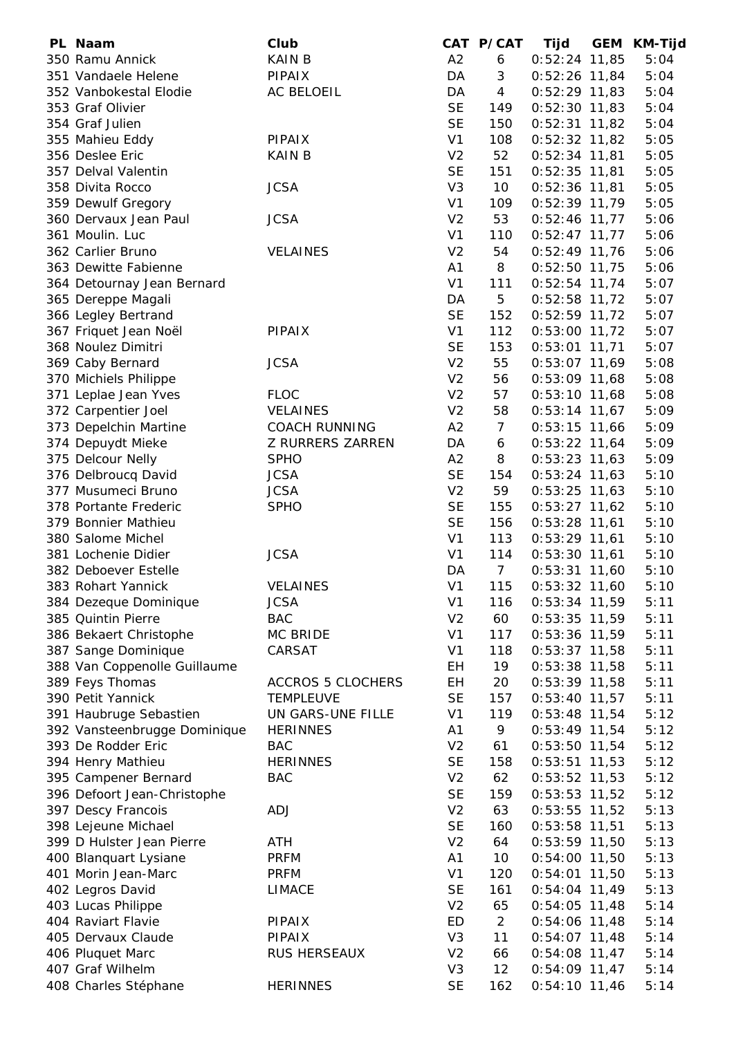| PL Naam                                      | Club                     |                | CAT P/CAT      | Tijd            | GEM KM-Tijd |
|----------------------------------------------|--------------------------|----------------|----------------|-----------------|-------------|
| 350 Ramu Annick                              | <b>KAIN B</b>            | A2             | 6              | $0:52:24$ 11,85 | 5:04        |
| 351 Vandaele Helene                          | PIPAIX                   | DA             | 3              | $0:52:26$ 11,84 | 5:04        |
| 352 Vanbokestal Elodie                       | AC BELOEIL               | DA             | $\overline{4}$ | $0:52:29$ 11,83 | 5:04        |
| 353 Graf Olivier                             |                          | <b>SE</b>      | 149            | $0:52:30$ 11,83 | 5:04        |
| 354 Graf Julien                              |                          | <b>SE</b>      | 150            | $0:52:31$ 11,82 | 5:04        |
| 355 Mahieu Eddy                              | <b>PIPAIX</b>            | V <sub>1</sub> | 108            | $0:52:32$ 11,82 | 5:05        |
| 356 Deslee Eric                              | <b>KAIN B</b>            | V <sub>2</sub> | 52             | $0:52:34$ 11,81 | 5:05        |
| 357 Delval Valentin                          |                          | <b>SE</b>      | 151            | $0:52:35$ 11,81 | 5:05        |
| 358 Divita Rocco                             | <b>JCSA</b>              | V <sub>3</sub> | 10             | $0:52:36$ 11,81 | 5:05        |
| 359 Dewulf Gregory                           |                          | V <sub>1</sub> | 109            | $0:52:39$ 11,79 | 5:05        |
| 360 Dervaux Jean Paul                        | <b>JCSA</b>              | V <sub>2</sub> | 53             | $0:52:46$ 11,77 | 5:06        |
| 361 Moulin. Luc                              |                          | V <sub>1</sub> | 110            | $0:52:47$ 11,77 | 5:06        |
| 362 Carlier Bruno                            | <b>VELAINES</b>          | V <sub>2</sub> | 54             | $0:52:49$ 11,76 | 5:06        |
| 363 Dewitte Fabienne                         |                          | A1             | 8              | $0:52:50$ 11,75 | 5:06        |
| 364 Detournay Jean Bernard                   |                          | V <sub>1</sub> | 111            | $0:52:54$ 11,74 | 5:07        |
| 365 Dereppe Magali                           |                          | DA             | 5              | $0:52:58$ 11,72 | 5:07        |
| 366 Legley Bertrand                          |                          | <b>SE</b>      | 152            | $0:52:59$ 11,72 | 5:07        |
| 367 Friquet Jean Noël                        | <b>PIPAIX</b>            | V <sub>1</sub> | 112            | $0:53:00$ 11,72 | 5:07        |
| 368 Noulez Dimitri                           |                          | <b>SE</b>      | 153            | $0:53:01$ 11,71 | 5:07        |
| 369 Caby Bernard                             | <b>JCSA</b>              | V <sub>2</sub> | 55             | $0:53:07$ 11,69 | 5:08        |
| 370 Michiels Philippe                        |                          | V <sub>2</sub> | 56             | $0:53:09$ 11,68 | 5:08        |
| 371 Leplae Jean Yves                         | <b>FLOC</b>              | V <sub>2</sub> | 57             | $0:53:10$ 11,68 | 5:08        |
| 372 Carpentier Joel                          | <b>VELAINES</b>          | V <sub>2</sub> | 58             | $0:53:14$ 11,67 | 5:09        |
| 373 Depelchin Martine                        | <b>COACH RUNNING</b>     | A2             | $\overline{7}$ | $0:53:15$ 11,66 | 5:09        |
| 374 Depuydt Mieke                            | Z RURRERS ZARREN         | DA             | 6              | $0:53:22$ 11,64 | 5:09        |
| 375 Delcour Nelly                            | <b>SPHO</b>              | A2             | 8              | $0:53:23$ 11,63 | 5:09        |
| 376 Delbroucq David                          | <b>JCSA</b>              | <b>SE</b>      | 154            | $0:53:24$ 11,63 | 5:10        |
| 377 Musumeci Bruno                           | <b>JCSA</b>              | V <sub>2</sub> | 59             | $0:53:25$ 11,63 | 5:10        |
| 378 Portante Frederic                        | <b>SPHO</b>              | <b>SE</b>      | 155            | $0:53:27$ 11,62 | 5:10        |
| 379 Bonnier Mathieu                          |                          | <b>SE</b>      | 156            | $0:53:28$ 11,61 | 5:10        |
| 380 Salome Michel                            |                          | V <sub>1</sub> | 113            | $0:53:29$ 11,61 | 5:10        |
| 381 Lochenie Didier                          | <b>JCSA</b>              | V <sub>1</sub> | 114            | $0:53:30$ 11,61 | 5:10        |
| 382 Deboever Estelle                         |                          | DA             | 7 <sup>7</sup> | $0:53:31$ 11,60 | 5:10        |
| 383 Rohart Yannick                           | <b>VELAINES</b>          | V <sub>1</sub> | 115            | $0:53:32$ 11,60 | 5:10        |
| 384 Dezeque Dominique                        | <b>JCSA</b>              | V <sub>1</sub> | 116            | $0:53:34$ 11,59 | 5:11        |
| 385 Quintin Pierre                           | <b>BAC</b>               | V <sub>2</sub> | 60             | $0:53:35$ 11,59 | 5:11        |
| 386 Bekaert Christophe                       | MC BRIDE                 | V <sub>1</sub> | 117            | 0:53:36 11,59   | 5:11        |
| 387 Sange Dominique                          | CARSAT                   | V <sub>1</sub> | 118            | $0:53:37$ 11,58 | 5:11        |
| 388 Van Coppenolle Guillaume                 |                          | EH             | 19             | $0:53:38$ 11,58 | 5:11        |
| 389 Feys Thomas                              | <b>ACCROS 5 CLOCHERS</b> | <b>EH</b>      | 20             | $0:53:39$ 11,58 | 5:11        |
| 390 Petit Yannick                            | <b>TEMPLEUVE</b>         | <b>SE</b>      | 157            | $0:53:40$ 11,57 | 5:11        |
| 391 Haubruge Sebastien                       | UN GARS-UNE FILLE        | V <sub>1</sub> | 119            | $0:53:48$ 11,54 | 5:12        |
| 392 Vansteenbrugge Dominique                 | <b>HERINNES</b>          | A <sub>1</sub> | 9              | $0:53:49$ 11,54 | 5:12        |
| 393 De Rodder Eric                           | <b>BAC</b>               | V <sub>2</sub> | 61             | $0:53:50$ 11,54 | 5:12        |
| 394 Henry Mathieu                            | <b>HERINNES</b>          | <b>SE</b>      | 158            | $0:53:51$ 11,53 | 5:12        |
| 395 Campener Bernard                         | <b>BAC</b>               | V <sub>2</sub> | 62             | $0:53:52$ 11,53 | 5:12        |
| 396 Defoort Jean-Christophe                  |                          | <b>SE</b>      | 159            | $0:53:53$ 11,52 | 5:12        |
| 397 Descy Francois                           | ADJ                      | V <sub>2</sub> | 63             | $0:53:55$ 11,52 | 5:13        |
| 398 Lejeune Michael                          |                          | <b>SE</b>      | 160            | $0:53:58$ 11,51 | 5:13        |
| 399 D Hulster Jean Pierre                    | ATH                      | V <sub>2</sub> | 64             | $0:53:59$ 11,50 | 5:13        |
|                                              | <b>PRFM</b>              | A1             | 10             |                 | 5:13        |
| 400 Blanquart Lysiane<br>401 Morin Jean-Marc | <b>PRFM</b>              | V <sub>1</sub> | 120            | $0:54:00$ 11,50 | 5:13        |
|                                              |                          |                |                | $0:54:01$ 11,50 |             |
| 402 Legros David                             | LIMACE                   | <b>SE</b>      | 161            | $0:54:04$ 11,49 | 5:13        |
| 403 Lucas Philippe                           |                          | V <sub>2</sub> | 65             | $0:54:05$ 11,48 | 5:14        |
| 404 Raviart Flavie                           | <b>PIPAIX</b>            | ED             | $\overline{2}$ | $0:54:06$ 11,48 | 5:14        |
| 405 Dervaux Claude                           | <b>PIPAIX</b>            | V <sub>3</sub> | 11             | $0:54:07$ 11,48 | 5:14        |
| 406 Pluquet Marc                             | RUS HERSEAUX             | V <sub>2</sub> | 66             | $0:54:08$ 11,47 | 5:14        |
| 407 Graf Wilhelm                             |                          | V <sub>3</sub> | 12             | $0:54:09$ 11,47 | 5:14        |
| 408 Charles Stéphane                         | <b>HERINNES</b>          | <b>SE</b>      | 162            | $0:54:10$ 11,46 | 5:14        |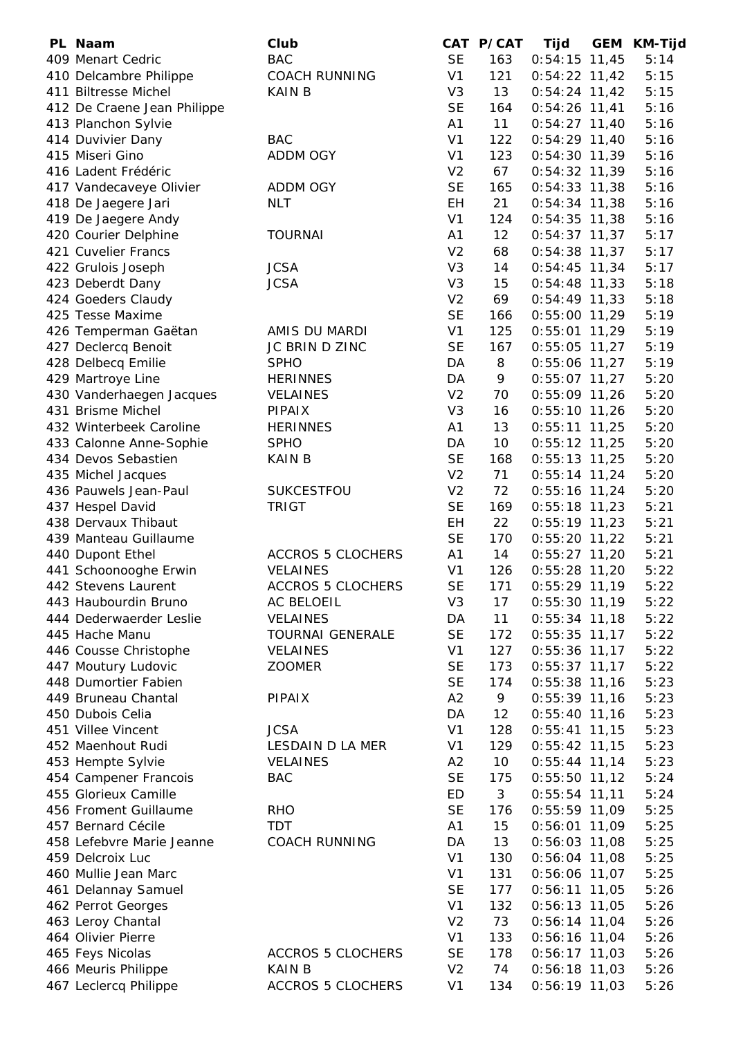| PL Naam                                         | Club                     |                 | CAT P/CAT      | Tijd            | <b>GEM</b> | <b>KM-Tijd</b> |
|-------------------------------------------------|--------------------------|-----------------|----------------|-----------------|------------|----------------|
| 409 Menart Cedric                               | <b>BAC</b>               | <b>SE</b>       | 163            | $0:54:15$ 11,45 |            | 5:14           |
| 410 Delcambre Philippe                          | <b>COACH RUNNING</b>     | V <sub>1</sub>  | 121            | $0:54:22$ 11,42 |            | 5:15           |
| 411 Biltresse Michel                            | <b>KAIN B</b>            | V <sub>3</sub>  | 13             | $0:54:24$ 11,42 |            | 5:15           |
| 412 De Craene Jean Philippe                     |                          | <b>SE</b>       | 164            | $0:54:26$ 11,41 |            | 5:16           |
| 413 Planchon Sylvie                             |                          | A <sub>1</sub>  | 11             | $0:54:27$ 11,40 |            | 5:16           |
| 414 Duvivier Dany                               | <b>BAC</b>               | V <sub>1</sub>  | 122            | $0:54:29$ 11,40 |            | 5:16           |
| 415 Miseri Gino                                 | <b>ADDM OGY</b>          | V <sub>1</sub>  | 123            | $0:54:30$ 11,39 |            | 5:16           |
| 416 Ladent Frédéric                             |                          | V <sub>2</sub>  | 67             | $0:54:32$ 11,39 |            | 5:16           |
| 417 Vandecaveye Olivier                         | ADDM OGY                 | <b>SE</b>       | 165            | $0:54:33$ 11,38 |            | 5:16           |
| 418 De Jaegere Jari                             | <b>NLT</b>               | <b>EH</b>       | 21             | $0:54:34$ 11,38 |            | 5:16           |
| 419 De Jaegere Andy                             |                          | V <sub>1</sub>  | 124            | $0:54:35$ 11,38 |            | 5:16           |
| 420 Courier Delphine                            | <b>TOURNAI</b>           | A <sub>1</sub>  | 12             | $0:54:37$ 11,37 |            | 5:17           |
| 421 Cuvelier Francs                             |                          | V <sub>2</sub>  | 68             | $0:54:38$ 11,37 |            | 5:17           |
| 422 Grulois Joseph                              | <b>JCSA</b>              | V <sub>3</sub>  | 14             | $0:54:45$ 11,34 |            | 5:17           |
| 423 Deberdt Dany                                | <b>JCSA</b>              | V <sub>3</sub>  | 15             | $0:54:48$ 11,33 |            | 5:18           |
| 424 Goeders Claudy                              |                          | V <sub>2</sub>  | 69             | $0:54:49$ 11,33 |            | 5:18           |
| 425 Tesse Maxime                                |                          | <b>SE</b>       | 166            | $0:55:00$ 11,29 |            | 5:19           |
| 426 Temperman Gaëtan                            | AMIS DU MARDI            | V <sub>1</sub>  | 125            | $0:55:01$ 11,29 |            | 5:19           |
| 427 Declercq Benoit                             | JC BRIN D ZINC           | <b>SE</b>       | 167            | $0:55:05$ 11,27 |            | 5:19           |
| 428 Delbecq Emilie                              | <b>SPHO</b>              | DA              | 8              | $0:55:06$ 11,27 |            | 5:19           |
| 429 Martroye Line                               | <b>HERINNES</b>          | DA              | 9              | $0:55:07$ 11,27 |            | 5:20           |
| 430 Vanderhaegen Jacques                        | <b>VELAINES</b>          | V <sub>2</sub>  | 70             | $0:55:09$ 11,26 |            | 5:20           |
| 431 Brisme Michel                               | <b>PIPAIX</b>            | V <sub>3</sub>  | 16             | $0:55:10$ 11,26 |            | 5:20           |
| 432 Winterbeek Caroline                         | <b>HERINNES</b>          | A <sub>1</sub>  | 13             | $0:55:11$ 11,25 |            | 5:20           |
| 433 Calonne Anne-Sophie                         | <b>SPHO</b>              | DA              | 10             | $0:55:12$ 11,25 |            | 5:20           |
| 434 Devos Sebastien                             | <b>KAIN B</b>            | <b>SE</b>       | 168            | $0:55:13$ 11,25 |            | 5:20           |
| 435 Michel Jacques                              |                          | V <sub>2</sub>  | 71             | $0:55:14$ 11,24 |            | 5:20           |
| 436 Pauwels Jean-Paul                           | <b>SUKCESTFOU</b>        | V <sub>2</sub>  | 72             | $0:55:16$ 11,24 |            | 5:20           |
| 437 Hespel David                                | <b>TRIGT</b>             | <b>SE</b>       | 169            | $0:55:18$ 11,23 |            | 5:21           |
| 438 Dervaux Thibaut                             |                          | <b>EH</b>       | 22             | $0:55:19$ 11,23 |            | 5:21           |
| 439 Manteau Guillaume                           |                          | <b>SE</b>       | 170            | $0:55:20$ 11,22 |            | 5:21           |
| 440 Dupont Ethel                                | <b>ACCROS 5 CLOCHERS</b> | A <sub>1</sub>  | 14             | $0:55:27$ 11,20 |            | 5:21           |
| 441 Schoonooghe Erwin                           | <b>VELAINES</b>          | V <sub>1</sub>  | 126            | $0:55:28$ 11,20 |            | 5:22           |
| 442 Stevens Laurent                             | <b>ACCROS 5 CLOCHERS</b> | <b>SE</b>       | 171            | $0:55:29$ 11,19 |            | 5:22           |
|                                                 | AC BELOEIL               | V <sub>3</sub>  |                | $0:55:30$ 11,19 |            | 5:22           |
| 443 Haubourdin Bruno<br>444 Dederwaerder Leslie | <b>VELAINES</b>          |                 | 17<br>11       | $0:55:34$ 11,18 |            | 5:22           |
| 445 Hache Manu                                  |                          | DA<br><b>SE</b> |                |                 |            |                |
|                                                 | <b>TOURNAI GENERALE</b>  |                 | 172            | $0:55:35$ 11,17 |            | 5:22           |
| 446 Cousse Christophe                           | <b>VELAINES</b>          | V <sub>1</sub>  | 127            | $0:55:36$ 11,17 |            | 5:22           |
| 447 Moutury Ludovic                             | <b>ZOOMER</b>            | <b>SE</b>       | 173            | $0:55:37$ 11,17 |            | 5:22           |
| 448 Dumortier Fabien                            |                          | <b>SE</b>       | 174            | $0:55:38$ 11,16 |            | 5:23           |
| 449 Bruneau Chantal                             | <b>PIPAIX</b>            | A2              | 9              | $0:55:39$ 11,16 |            | 5:23           |
| 450 Dubois Celia                                |                          | DA              | 12             | $0:55:40$ 11,16 |            | 5:23           |
| 451 Villee Vincent                              | <b>JCSA</b>              | V <sub>1</sub>  | 128            | $0:55:41$ 11,15 |            | 5:23           |
| 452 Maenhout Rudi                               | LESDAIN D LA MER         | V <sub>1</sub>  | 129            | $0:55:42$ 11,15 |            | 5:23           |
| 453 Hempte Sylvie                               | <b>VELAINES</b>          | A2              | 10             | $0:55:44$ 11,14 |            | 5:23           |
| 454 Campener Francois                           | <b>BAC</b>               | <b>SE</b>       | 175            | $0:55:50$ 11,12 |            | 5:24           |
| 455 Glorieux Camille                            |                          | ED              | 3 <sup>1</sup> | $0:55:54$ 11,11 |            | 5:24           |
| 456 Froment Guillaume                           | <b>RHO</b>               | <b>SE</b>       | 176            | $0:55:59$ 11,09 |            | 5:25           |
| 457 Bernard Cécile                              | <b>TDT</b>               | A1              | 15             | $0:56:01$ 11,09 |            | 5:25           |
| 458 Lefebvre Marie Jeanne                       | <b>COACH RUNNING</b>     | DA              | 13             | $0:56:03$ 11,08 |            | 5:25           |
| 459 Delcroix Luc                                |                          | V <sub>1</sub>  | 130            | $0:56:04$ 11,08 |            | 5:25           |
| 460 Mullie Jean Marc                            |                          | V <sub>1</sub>  | 131            | 0:56:06 11,07   |            | 5:25           |
| 461 Delannay Samuel                             |                          | <b>SE</b>       | 177            | $0:56:11$ 11,05 |            | 5:26           |
| 462 Perrot Georges                              |                          | V <sub>1</sub>  | 132            | $0:56:13$ 11,05 |            | 5:26           |
| 463 Leroy Chantal                               |                          | V <sub>2</sub>  | 73             | $0:56:14$ 11,04 |            | 5:26           |
| 464 Olivier Pierre                              |                          | V <sub>1</sub>  | 133            | $0:56:16$ 11,04 |            | 5:26           |
| 465 Feys Nicolas                                | <b>ACCROS 5 CLOCHERS</b> | <b>SE</b>       | 178            | $0:56:17$ 11,03 |            | 5:26           |
| 466 Meuris Philippe                             | <b>KAIN B</b>            | V <sub>2</sub>  | 74             | $0:56:18$ 11,03 |            | 5:26           |
| 467 Leclercq Philippe                           | <b>ACCROS 5 CLOCHERS</b> | V <sub>1</sub>  | 134            | $0:56:19$ 11,03 |            | 5:26           |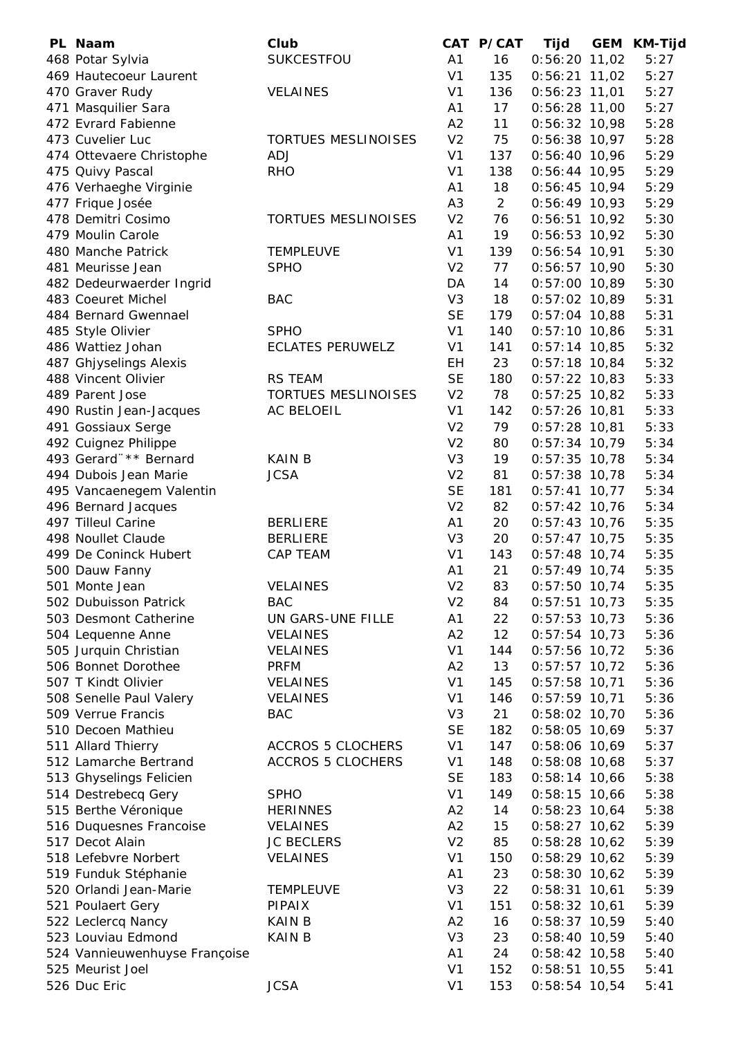| PL Naam                                        | Club                       |                      | CAT P/CAT      | Tijd                               | <b>GEM KM-Tijd</b> |
|------------------------------------------------|----------------------------|----------------------|----------------|------------------------------------|--------------------|
| 468 Potar Sylvia                               | SUKCESTFOU                 | A1                   | 16             | $0:56:20$ 11,02                    | 5:27               |
| 469 Hautecoeur Laurent                         |                            | V <sub>1</sub>       | 135            | $0:56:21$ 11,02                    | 5:27               |
| 470 Graver Rudy                                | <b>VELAINES</b>            | V <sub>1</sub>       | 136            | $0:56:23$ 11,01                    | 5:27               |
| 471 Masquilier Sara                            |                            | A1                   | 17             | $0:56:28$ 11,00                    | 5:27               |
| 472 Evrard Fabienne                            |                            | A2                   | 11             | $0:56:32$ 10,98                    | 5:28               |
| 473 Cuvelier Luc                               | <b>TORTUES MESLINOISES</b> | V <sub>2</sub>       | 75             | $0:56:38$ 10,97                    | 5:28               |
| 474 Ottevaere Christophe                       | ADJ                        | V <sub>1</sub>       | 137            | $0:56:40$ 10,96                    | 5:29               |
| 475 Quivy Pascal                               | <b>RHO</b>                 | V <sub>1</sub>       | 138            | $0:56:44$ 10,95                    | 5:29               |
| 476 Verhaeghe Virginie                         |                            | A1                   | 18             | $0:56:45$ 10,94                    | 5:29               |
| 477 Frique Josée                               |                            | A <sub>3</sub>       | $\overline{2}$ | $0:56:49$ 10,93                    | 5:29               |
| 478 Demitri Cosimo                             | <b>TORTUES MESLINOISES</b> | V <sub>2</sub>       | 76             | $0:56:51$ 10,92                    | 5:30               |
| 479 Moulin Carole                              |                            | A1                   | 19             | $0:56:53$ 10,92                    | 5:30               |
| 480 Manche Patrick                             | <b>TEMPLEUVE</b>           | V <sub>1</sub>       | 139            | $0:56:54$ 10,91                    | 5:30               |
| 481 Meurisse Jean                              | <b>SPHO</b>                | V <sub>2</sub>       | 77             | $0:56:57$ 10,90                    | 5:30               |
| 482 Dedeurwaerder Ingrid                       |                            | DA                   | 14             | $0:57:00$ 10,89                    | 5:30               |
| 483 Coeuret Michel                             | <b>BAC</b>                 | V <sub>3</sub>       | 18             | $0:57:02$ 10,89                    | 5:31               |
| 484 Bernard Gwennael                           |                            | <b>SE</b>            | 179            | $0:57:04$ 10,88                    | 5:31               |
| 485 Style Olivier                              | <b>SPHO</b>                | V <sub>1</sub>       | 140            | $0:57:10$ 10,86                    | 5:31               |
| 486 Wattiez Johan                              | <b>ECLATES PERUWELZ</b>    | V <sub>1</sub>       | 141            | $0:57:14$ 10,85                    | 5:32               |
| 487 Ghjyselings Alexis                         |                            | EH                   | 23             | $0:57:18$ 10,84                    | 5:32               |
| 488 Vincent Olivier                            | <b>RS TEAM</b>             | <b>SE</b>            | 180            | $0:57:22$ 10,83                    | 5:33               |
| 489 Parent Jose                                | <b>TORTUES MESLINOISES</b> | V <sub>2</sub>       | 78             | $0:57:25$ 10,82                    | 5:33               |
| 490 Rustin Jean-Jacques                        | <b>AC BELOEIL</b>          | V <sub>1</sub>       | 142            | $0:57:26$ 10,81                    | 5:33               |
| 491 Gossiaux Serge                             |                            | V <sub>2</sub>       | 79             | $0:57:28$ 10,81                    | 5:33               |
| 492 Cuignez Philippe                           |                            | V <sub>2</sub>       | 80             | $0:57:34$ 10,79                    | 5:34               |
| 493 Gerard"** Bernard                          | <b>KAIN B</b>              | V <sub>3</sub>       | 19             | $0:57:35$ 10,78                    | 5:34               |
| 494 Dubois Jean Marie                          | <b>JCSA</b>                | V <sub>2</sub>       | 81             | $0:57:38$ 10,78                    | 5:34               |
| 495 Vancaenegem Valentin                       |                            | <b>SE</b>            | 181            | $0:57:41$ 10,77                    | 5:34               |
| 496 Bernard Jacques                            |                            | V <sub>2</sub>       | 82             | $0:57:42$ 10,76                    | 5:34               |
| 497 Tilleul Carine                             | <b>BERLIERE</b>            | A <sub>1</sub>       | 20             | $0:57:43$ 10,76                    | 5:35               |
| 498 Noullet Claude                             | <b>BERLIERE</b>            | V <sub>3</sub>       | 20             | $0:57:47$ 10,75                    | 5:35               |
| 499 De Coninck Hubert                          | <b>CAP TEAM</b>            | V <sub>1</sub>       | 143            | $0:57:48$ 10,74                    | 5:35               |
| 500 Dauw Fanny                                 | <b>VELAINES</b>            | A1                   | 21             | $0:57:49$ 10,74                    | 5:35               |
| 501 Monte Jean                                 | <b>BAC</b>                 | V <sub>2</sub>       | 83             | $0:57:50$ 10,74                    | 5:35               |
| 502 Dubuisson Patrick<br>503 Desmont Catherine | UN GARS-UNE FILLE          | V <sub>2</sub><br>A1 | 84<br>22       | $0:57:51$ 10,73<br>$0:57:53$ 10,73 | 5:35<br>5:36       |
| 504 Lequenne Anne                              | <b>VELAINES</b>            | A2                   | 12             | $0:57:54$ 10,73                    | 5:36               |
| 505 Jurquin Christian                          | <b>VELAINES</b>            | V <sub>1</sub>       | 144            | $0:57:56$ 10,72                    | 5:36               |
| 506 Bonnet Dorothee                            | <b>PRFM</b>                | A2                   | 13             | $0:57:57$ 10,72                    | 5:36               |
| 507 T Kindt Olivier                            | <b>VELAINES</b>            | V <sub>1</sub>       | 145            | $0:57:58$ 10,71                    | 5:36               |
| 508 Senelle Paul Valery                        | <b>VELAINES</b>            | V <sub>1</sub>       | 146            | $0:57:59$ 10,71                    | 5:36               |
| 509 Verrue Francis                             | <b>BAC</b>                 | V <sub>3</sub>       | 21             | $0:58:02$ 10,70                    | 5:36               |
| 510 Decoen Mathieu                             |                            | <b>SE</b>            | 182            | $0:58:05$ 10,69                    | 5:37               |
| 511 Allard Thierry                             | <b>ACCROS 5 CLOCHERS</b>   | V <sub>1</sub>       | 147            | $0:58:06$ 10,69                    | 5:37               |
| 512 Lamarche Bertrand                          | <b>ACCROS 5 CLOCHERS</b>   | V <sub>1</sub>       | 148            | $0:58:08$ 10,68                    | 5:37               |
| 513 Ghyselings Felicien                        |                            | <b>SE</b>            | 183            | $0:58:14$ 10,66                    | 5:38               |
| 514 Destrebecq Gery                            | <b>SPHO</b>                | V <sub>1</sub>       | 149            | $0:58:15$ 10,66                    | 5:38               |
| 515 Berthe Véronique                           | <b>HERINNES</b>            | A2                   | 14             | $0:58:23$ 10,64                    | 5:38               |
| 516 Duquesnes Francoise                        | <b>VELAINES</b>            | A2                   | 15             | $0:58:27$ 10,62                    | 5:39               |
| 517 Decot Alain                                | <b>JC BECLERS</b>          | V <sub>2</sub>       | 85             | $0:58:28$ 10,62                    | 5:39               |
| 518 Lefebvre Norbert                           | <b>VELAINES</b>            | V <sub>1</sub>       | 150            | $0:58:29$ 10,62                    | 5:39               |
| 519 Funduk Stéphanie                           |                            | A1                   | 23             | $0:58:30$ 10,62                    | 5:39               |
| 520 Orlandi Jean-Marie                         | <b>TEMPLEUVE</b>           | V <sub>3</sub>       | 22             | $0:58:31$ 10,61                    | 5:39               |
| 521 Poulaert Gery                              | PIPAIX                     | V <sub>1</sub>       | 151            | $0:58:32$ 10,61                    | 5:39               |
| 522 Leclercq Nancy                             | <b>KAIN B</b>              | A2                   | 16             | $0:58:37$ 10,59                    | 5:40               |
| 523 Louviau Edmond                             | <b>KAIN B</b>              | V <sub>3</sub>       | 23             | $0:58:40$ 10,59                    | 5:40               |
| 524 Vannieuwenhuyse Françoise                  |                            | A1                   | 24             | $0:58:42$ 10,58                    | 5:40               |
| 525 Meurist Joel                               |                            | V <sub>1</sub>       | 152            | $0:58:51$ 10,55                    | 5:41               |
| 526 Duc Eric                                   | <b>JCSA</b>                | V <sub>1</sub>       | 153            | $0:58:54$ 10,54                    | 5:41               |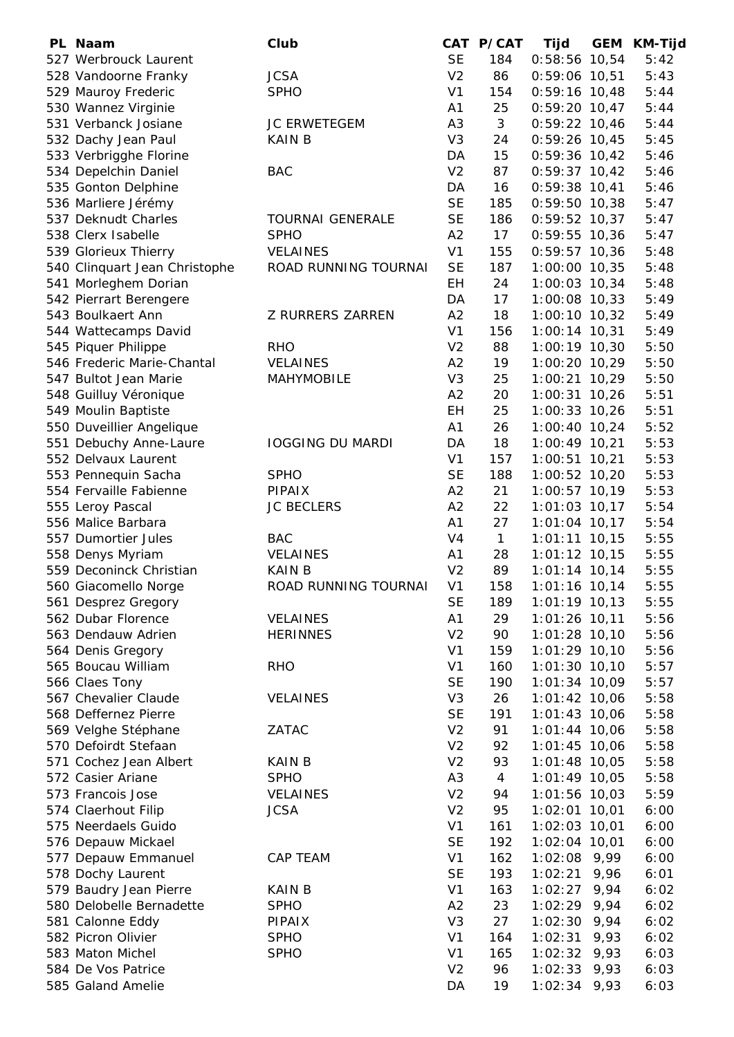| PL Naam                                     | Club                    |                | CAT P/CAT      | <b>Tijd</b>                        | <b>GEM</b> | <b>KM-Tijd</b> |
|---------------------------------------------|-------------------------|----------------|----------------|------------------------------------|------------|----------------|
| 527 Werbrouck Laurent                       |                         | <b>SE</b>      | 184            | $0:58:56$ 10,54                    |            | 5:42           |
| 528 Vandoorne Franky                        | <b>JCSA</b>             | V <sub>2</sub> | 86             | $0:59:06$ 10,51                    |            | 5:43           |
| 529 Mauroy Frederic                         | <b>SPHO</b>             | V <sub>1</sub> | 154            | $0:59:16$ 10,48                    |            | 5:44           |
| 530 Wannez Virginie                         |                         | A <sub>1</sub> | 25             | $0:59:20$ 10,47                    |            | 5:44           |
| 531 Verbanck Josiane                        | <b>JC ERWETEGEM</b>     | A <sub>3</sub> | 3              | $0:59:22$ 10,46                    |            | 5:44           |
| 532 Dachy Jean Paul                         | KAIN B                  | V <sub>3</sub> | 24             | $0:59:26$ 10,45                    |            | 5:45           |
| 533 Verbrigghe Florine                      |                         | DA             | 15             | $0:59:36$ 10,42                    |            | 5:46           |
| 534 Depelchin Daniel                        | <b>BAC</b>              | V <sub>2</sub> | 87             | $0:59:37$ 10,42                    |            | 5:46           |
| 535 Gonton Delphine                         |                         | DA             | 16             | $0:59:38$ 10,41                    |            | 5:46           |
| 536 Marliere Jérémy                         |                         | <b>SE</b>      | 185            | $0:59:50$ 10,38                    |            | 5:47           |
| 537 Deknudt Charles                         | <b>TOURNAI GENERALE</b> | <b>SE</b>      | 186            | $0:59:52$ 10,37                    |            | 5:47           |
| 538 Clerx Isabelle                          | <b>SPHO</b>             | A2             | 17             | $0:59:55$ 10,36                    |            | 5:47           |
| 539 Glorieux Thierry                        | VELAINES                | V <sub>1</sub> | 155            | $0:59:57$ 10,36                    |            | 5:48           |
| 540 Clinquart Jean Christophe               | ROAD RUNNING TOURNAI    | <b>SE</b>      | 187            | $1:00:00$ 10,35                    |            | 5:48           |
| 541 Morleghem Dorian                        |                         | <b>EH</b>      | 24             | $1:00:03$ 10,34                    |            | 5:48           |
| 542 Pierrart Berengere                      |                         | DA             | 17             | $1:00:08$ 10,33                    |            | 5:49           |
| 543 Boulkaert Ann                           | <b>Z RURRERS ZARREN</b> | A2             | 18             | $1:00:10$ 10,32                    |            | 5:49           |
| 544 Wattecamps David                        |                         | V <sub>1</sub> | 156            | $1:00:14$ 10,31                    |            | 5:49           |
| 545 Piquer Philippe                         | <b>RHO</b>              | V <sub>2</sub> | 88             | 1:00:19 10,30                      |            | 5:50           |
| 546 Frederic Marie-Chantal                  | <b>VELAINES</b>         | A2             | 19             | $1:00:20$ 10,29                    |            | 5:50           |
| 547 Bultot Jean Marie                       | <b>MAHYMOBILE</b>       | V <sub>3</sub> | 25             | 1:00:21 10,29                      |            | 5:50           |
| 548 Guilluy Véronique                       |                         | A2             | 20             | $1:00:31$ 10,26                    |            | 5:51           |
| 549 Moulin Baptiste                         |                         | <b>EH</b>      | 25             | $1:00:33$ 10,26                    |            | 5:51           |
| 550 Duveillier Angelique                    |                         | A1             | 26             | $1:00:40$ 10,24                    |            | 5:52           |
| 551 Debuchy Anne-Laure                      | <b>IOGGING DU MARDI</b> | DA             | 18             | $1:00:49$ 10,21                    |            | 5:53           |
| 552 Delvaux Laurent                         |                         | V <sub>1</sub> | 157            | $1:00:51$ 10,21                    |            | 5:53           |
| 553 Pennequin Sacha                         | <b>SPHO</b>             | <b>SE</b>      | 188            | $1:00:52$ 10,20                    |            | 5:53           |
| 554 Fervaille Fabienne                      | <b>PIPAIX</b>           | A2             | 21             | $1:00:57$ 10,19                    |            | 5:53           |
| 555 Leroy Pascal                            | <b>JC BECLERS</b>       | A2             | 22             | $1:01:03$ 10,17                    |            | 5:54           |
| 556 Malice Barbara                          |                         | A1             | 27             | $1:01:04$ 10,17                    |            | 5:54           |
| 557 Dumortier Jules                         | <b>BAC</b>              | V <sub>4</sub> | $\mathbf{1}$   | $1:01:11$ 10,15                    |            | 5:55           |
|                                             | <b>VELAINES</b>         | A1             | 28             | $1:01:12$ 10,15                    |            | 5:55           |
| 558 Denys Myriam<br>559 Deconinck Christian | <b>KAIN B</b>           | V <sub>2</sub> | 89             | $1:01:14$ 10,14                    |            | 5:55           |
|                                             | ROAD RUNNING TOURNAI    | V <sub>1</sub> | 158            |                                    |            | 5:55           |
| 560 Giacomello Norge                        |                         | <b>SE</b>      |                | $1:01:16$ 10,14<br>$1:01:19$ 10,13 |            |                |
| 561 Desprez Gregory                         |                         |                | 189            |                                    |            | 5:55           |
| 562 Dubar Florence                          | <b>VELAINES</b>         | A1             | 29             | $1:01:26$ 10,11                    |            | 5:56           |
| 563 Dendauw Adrien                          | <b>HERINNES</b>         | V <sub>2</sub> | 90             | $1:01:28$ 10,10                    |            | 5:56           |
| 564 Denis Gregory                           |                         | V <sub>1</sub> | 159            | $1:01:29$ 10,10                    |            | 5:56           |
| 565 Boucau William                          | <b>RHO</b>              | V <sub>1</sub> | 160            | $1:01:30$ 10,10                    |            | 5:57           |
| 566 Claes Tony                              |                         | <b>SE</b>      | 190            | $1:01:34$ 10,09                    |            | 5:57           |
| 567 Chevalier Claude                        | <b>VELAINES</b>         | V <sub>3</sub> | 26             | $1:01:42$ 10,06                    |            | 5:58           |
| 568 Deffernez Pierre                        |                         | <b>SE</b>      | 191            | $1:01:43$ 10,06                    |            | 5:58           |
| 569 Velghe Stéphane                         | ZATAC                   | V <sub>2</sub> | 91             | $1:01:44$ 10,06                    |            | 5:58           |
| 570 Defoirdt Stefaan                        |                         | V <sub>2</sub> | 92             | $1:01:45$ 10,06                    |            | 5:58           |
| 571 Cochez Jean Albert                      | <b>KAIN B</b>           | V <sub>2</sub> | 93             | $1:01:48$ 10,05                    |            | 5:58           |
| 572 Casier Ariane                           | <b>SPHO</b>             | A <sub>3</sub> | $\overline{4}$ | $1:01:49$ 10,05                    |            | 5:58           |
| 573 Francois Jose                           | <b>VELAINES</b>         | V <sub>2</sub> | 94             | 1:01:56 10,03                      |            | 5:59           |
| 574 Claerhout Filip                         | <b>JCSA</b>             | V <sub>2</sub> | 95             | $1:02:01$ 10,01                    |            | 6:00           |
| 575 Neerdaels Guido                         |                         | V <sub>1</sub> | 161            | $1:02:03$ 10,01                    |            | 6:00           |
| 576 Depauw Mickael                          |                         | <b>SE</b>      | 192            | 1:02:04 10,01                      |            | 6:00           |
| 577 Depauw Emmanuel                         | CAP TEAM                | V <sub>1</sub> | 162            | $1:02:08$ 9,99                     |            | 6:00           |
| 578 Dochy Laurent                           |                         | <b>SE</b>      | 193            | 1:02:21                            | 9,96       | 6:01           |
| 579 Baudry Jean Pierre                      | <b>KAIN B</b>           | V <sub>1</sub> | 163            | 1:02:27                            | 9,94       | 6:02           |
| 580 Delobelle Bernadette                    | <b>SPHO</b>             | A2             | 23             | $1:02:29$ 9,94                     |            | 6:02           |
| 581 Calonne Eddy                            | PIPAIX                  | V <sub>3</sub> | 27             | $1:02:30$ 9,94                     |            | 6:02           |
| 582 Picron Olivier                          | <b>SPHO</b>             | V <sub>1</sub> | 164            | 1:02:31                            | 9,93       | 6:02           |
| 583 Maton Michel                            | <b>SPHO</b>             | V <sub>1</sub> | 165            | 1:02:32                            | 9,93       | 6:03           |
| 584 De Vos Patrice                          |                         | V <sub>2</sub> | 96             | 1:02:33                            | 9,93       | 6:03           |
| 585 Galand Amelie                           |                         | DA             | 19             | $1:02:34$ 9,93                     |            | 6:03           |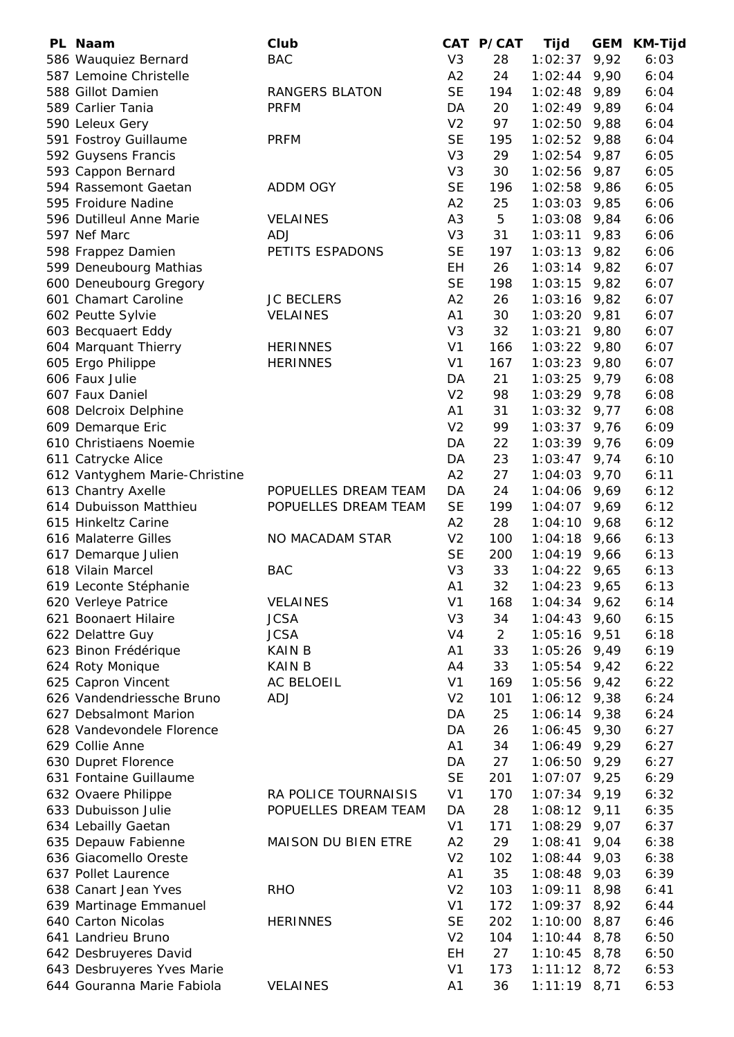| PL Naam                                     | Club                 |                      | CAT P/CAT | Tijd                      | <b>GEM</b>   | <b>KM-Tijd</b> |
|---------------------------------------------|----------------------|----------------------|-----------|---------------------------|--------------|----------------|
| 586 Wauquiez Bernard                        | <b>BAC</b>           | V <sub>3</sub>       | 28        | 1:02:37                   | 9,92         | 6:03           |
| 587 Lemoine Christelle                      |                      | A2                   | 24        | 1:02:44                   | 9,90         | 6:04           |
| 588 Gillot Damien                           | RANGERS BLATON       | <b>SE</b>            | 194       | 1:02:48                   | 9,89         | 6:04           |
| 589 Carlier Tania                           | <b>PRFM</b>          | DA                   | 20        | $1:02:49$ 9,89            |              | 6:04           |
| 590 Leleux Gery                             |                      | V <sub>2</sub>       | 97        | 1:02:50                   | 9,88         | 6:04           |
| 591 Fostroy Guillaume                       | <b>PRFM</b>          | <b>SE</b>            | 195       | 1:02:52                   | 9,88         | 6:04           |
| 592 Guysens Francis                         |                      | V <sub>3</sub>       | 29        | 1:02:54                   | 9,87         | 6:05           |
| 593 Cappon Bernard                          |                      | V <sub>3</sub>       | 30        | 1:02:56                   | 9,87         | 6:05           |
| 594 Rassemont Gaetan                        | <b>ADDM OGY</b>      | <b>SE</b>            | 196       | 1:02:58                   | 9,86         | 6:05           |
| 595 Froidure Nadine                         |                      | A2                   | 25        | 1:03:03                   | 9,85         | 6:06           |
| 596 Dutilleul Anne Marie                    | <b>VELAINES</b>      | A <sub>3</sub>       | 5         | 1:03:08                   | 9,84         | 6:06           |
| 597 Nef Marc                                | <b>ADJ</b>           | V <sub>3</sub>       | 31        | 1:03:11                   | 9,83         | 6:06           |
| 598 Frappez Damien                          | PETITS ESPADONS      | <b>SE</b>            | 197       | 1:03:13                   | 9,82         | 6:06           |
| 599 Deneubourg Mathias                      |                      | EH                   | 26        | 1:03:14                   | 9,82         | 6:07           |
| 600 Deneubourg Gregory                      |                      | <b>SE</b>            | 198       | 1:03:15                   | 9,82         | 6:07           |
| 601 Chamart Caroline                        | <b>JC BECLERS</b>    | A2                   | 26        | $1:03:16$ 9,82            |              | 6:07           |
| 602 Peutte Sylvie                           | <b>VELAINES</b>      | A1                   | 30        | $1:03:20$ 9,81            |              | 6:07           |
| 603 Becquaert Eddy                          |                      | V <sub>3</sub>       | 32        | 1:03:21                   | 9,80         | 6:07           |
| 604 Marquant Thierry                        | <b>HERINNES</b>      | V <sub>1</sub>       | 166       | 1:03:22                   | 9,80         | 6:07           |
| 605 Ergo Philippe                           | <b>HERINNES</b>      | V <sub>1</sub>       | 167       | 1:03:23                   | 9,80         | 6:07           |
| 606 Faux Julie                              |                      | DA                   | 21        | 1:03:25                   | 9,79         | 6:08           |
| 607 Faux Daniel                             |                      | V <sub>2</sub>       | 98        | $1:03:29$ 9,78            |              | 6:08           |
| 608 Delcroix Delphine                       |                      | A1<br>V <sub>2</sub> | 31<br>99  | $1:03:32$ 9,77            |              | 6:08<br>6:09   |
| 609 Demarque Eric<br>610 Christiaens Noemie |                      | DA                   | 22        | $1:03:37$ 9,76<br>1:03:39 |              | 6:09           |
| 611 Catrycke Alice                          |                      | DA                   | 23        | 1:03:47                   | 9,76<br>9,74 | 6:10           |
| 612 Vantyghem Marie-Christine               |                      | A2                   | 27        | 1:04:03                   | 9,70         | 6:11           |
| 613 Chantry Axelle                          | POPUELLES DREAM TEAM | DA                   | 24        | 1:04:06                   | 9,69         | 6:12           |
| 614 Dubuisson Matthieu                      | POPUELLES DREAM TEAM | <b>SE</b>            | 199       | $1:04:07$ 9,69            |              | 6:12           |
| 615 Hinkeltz Carine                         |                      | A2                   | 28        | 1:04:10                   | 9,68         | 6:12           |
| 616 Malaterre Gilles                        | NO MACADAM STAR      | V <sub>2</sub>       | 100       | 1:04:18                   | 9,66         | 6:13           |
| 617 Demarque Julien                         |                      | <b>SE</b>            | 200       | $1:04:19$ 9,66            |              | 6:13           |
| 618 Vilain Marcel                           | <b>BAC</b>           | V <sub>3</sub>       | 33        | $1:04:22$ 9,65            |              | 6:13           |
| 619 Leconte Stéphanie                       |                      | A1                   | 32        | $1:04:23$ 9,65            |              | 6:13           |
| 620 Verleye Patrice                         | <b>VELAINES</b>      | V <sub>1</sub>       | 168       | $1:04:34$ 9,62            |              | 6:14           |
| 621 Boonaert Hilaire                        | <b>JCSA</b>          | V <sub>3</sub>       | 34        | $1:04:43$ 9,60            |              | 6:15           |
| 622 Delattre Guy                            | <b>JCSA</b>          | V <sub>4</sub>       | 2         | 1:05:16                   | 9,51         | 6:18           |
| 623 Binon Frédérique                        | <b>KAIN B</b>        | A1                   | 33        | 1:05:26                   | 9,49         | 6:19           |
| 624 Roty Monique                            | <b>KAIN B</b>        | A4                   | 33        | 1:05:54                   | 9,42         | 6:22           |
| 625 Capron Vincent                          | <b>AC BELOEIL</b>    | V <sub>1</sub>       | 169       | 1:05:56                   | 9,42         | 6:22           |
| 626 Vandendriessche Bruno                   | <b>ADJ</b>           | V <sub>2</sub>       | 101       | $1:06:12$ 9,38            |              | 6:24           |
| 627 Debsalmont Marion                       |                      | DA                   | 25        | $1:06:14$ 9,38            |              | 6:24           |
| 628 Vandevondele Florence                   |                      | DA                   | 26        | 1:06:45                   | 9,30         | 6:27           |
| 629 Collie Anne                             |                      | A1                   | 34        | 1:06:49                   | 9,29         | 6:27           |
| 630 Dupret Florence                         |                      | DA                   | 27        | 1:06:50                   | 9,29         | 6:27           |
| 631 Fontaine Guillaume                      |                      | <b>SE</b>            | 201       | 1:07:07                   | 9,25         | 6:29           |
| 632 Ovaere Philippe                         | RA POLICE TOURNAISIS | V <sub>1</sub>       | 170       | $1:07:34$ 9,19            |              | 6:32           |
| 633 Dubuisson Julie                         | POPUELLES DREAM TEAM | DA                   | 28        | $1:08:12$ 9,11            |              | 6:35           |
| 634 Lebailly Gaetan                         |                      | V <sub>1</sub>       | 171       | 1:08:29                   | 9,07         | 6:37           |
| 635 Depauw Fabienne                         | MAISON DU BIEN ETRE  | A2                   | 29        | 1:08:41                   | 9,04         | 6:38           |
| 636 Giacomello Oreste                       |                      | V <sub>2</sub>       | 102       | 1:08:44                   | 9,03         | 6:38           |
| 637 Pollet Laurence                         |                      | A1                   | 35        | 1:08:48                   | 9,03         | 6:39           |
| 638 Canart Jean Yves                        | <b>RHO</b>           | V <sub>2</sub>       | 103       | 1:09:11                   | 8,98         | 6:41           |
| 639 Martinage Emmanuel                      |                      | V <sub>1</sub>       | 172       | 1:09:37                   | 8,92         | 6:44           |
| 640 Carton Nicolas                          | <b>HERINNES</b>      | <b>SE</b>            | 202       | 1:10:00                   | 8,87         | 6:46           |
| 641 Landrieu Bruno                          |                      | V <sub>2</sub>       | 104       | 1:10:44                   | 8,78         | 6:50           |
| 642 Desbruyeres David                       |                      | EH                   | 27        | 1:10:45                   | 8,78         | 6:50           |
| 643 Desbruyeres Yves Marie                  |                      | V <sub>1</sub>       | 173       | $1:11:12$ 8,72            |              | 6:53           |
| 644 Gouranna Marie Fabiola                  | <b>VELAINES</b>      | A1                   | 36        | $1:11:19$ 8,71            |              | 6:53           |